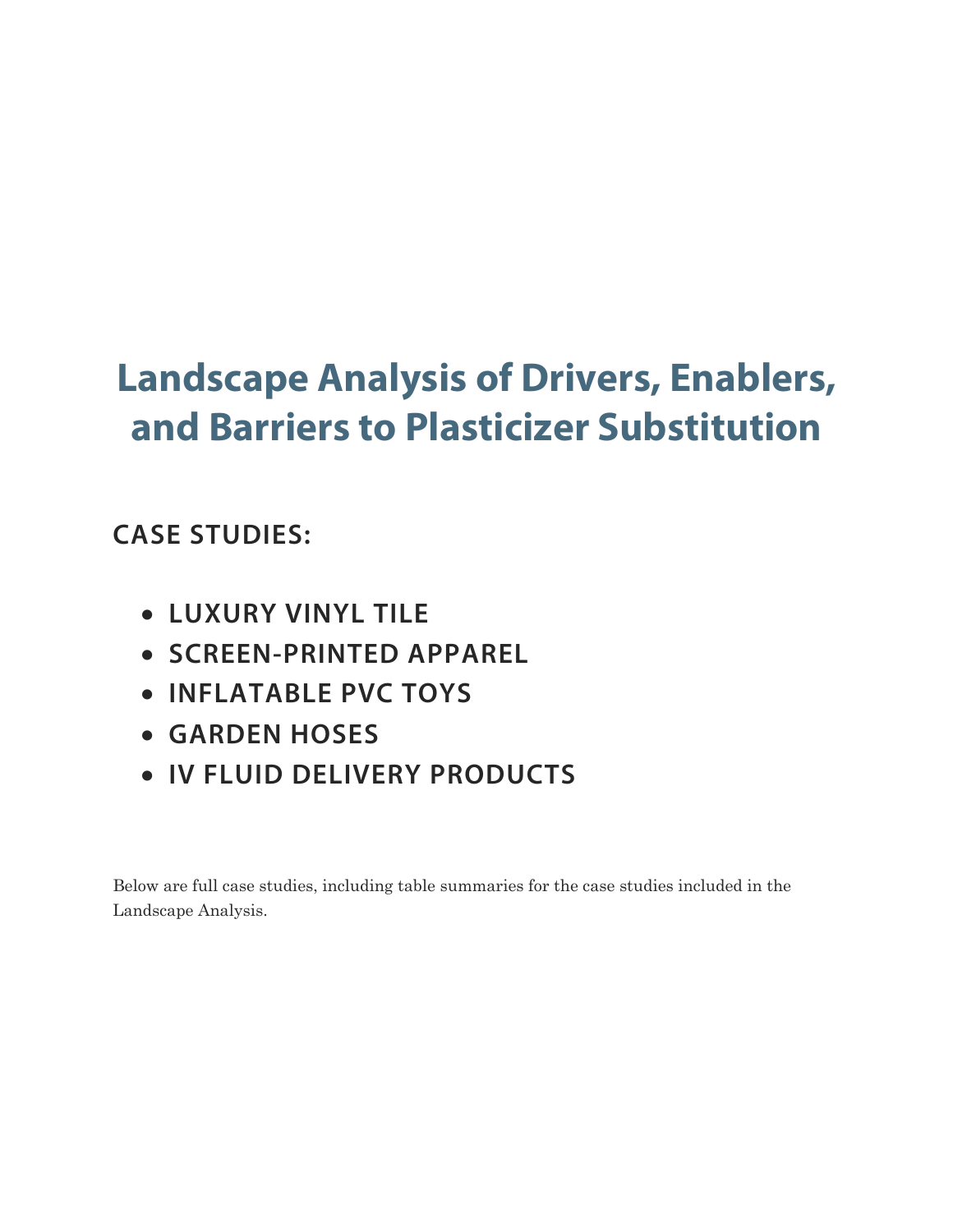# **Landscape Analysis of Drivers, Enablers, and Barriers to Plasticizer Substitution**

## **CASE STUDIES:**

- **LUXURY VINYL TILE**
- **SCREEN-PRINTED APPAREL**
- **INFLATABLE PVC TOYS**
- **GARDEN HOSES**
- **IV FLUID DELIVERY PRODUCTS**

Below are full case studies, including table summaries for the case studies included in the Landscape Analysis.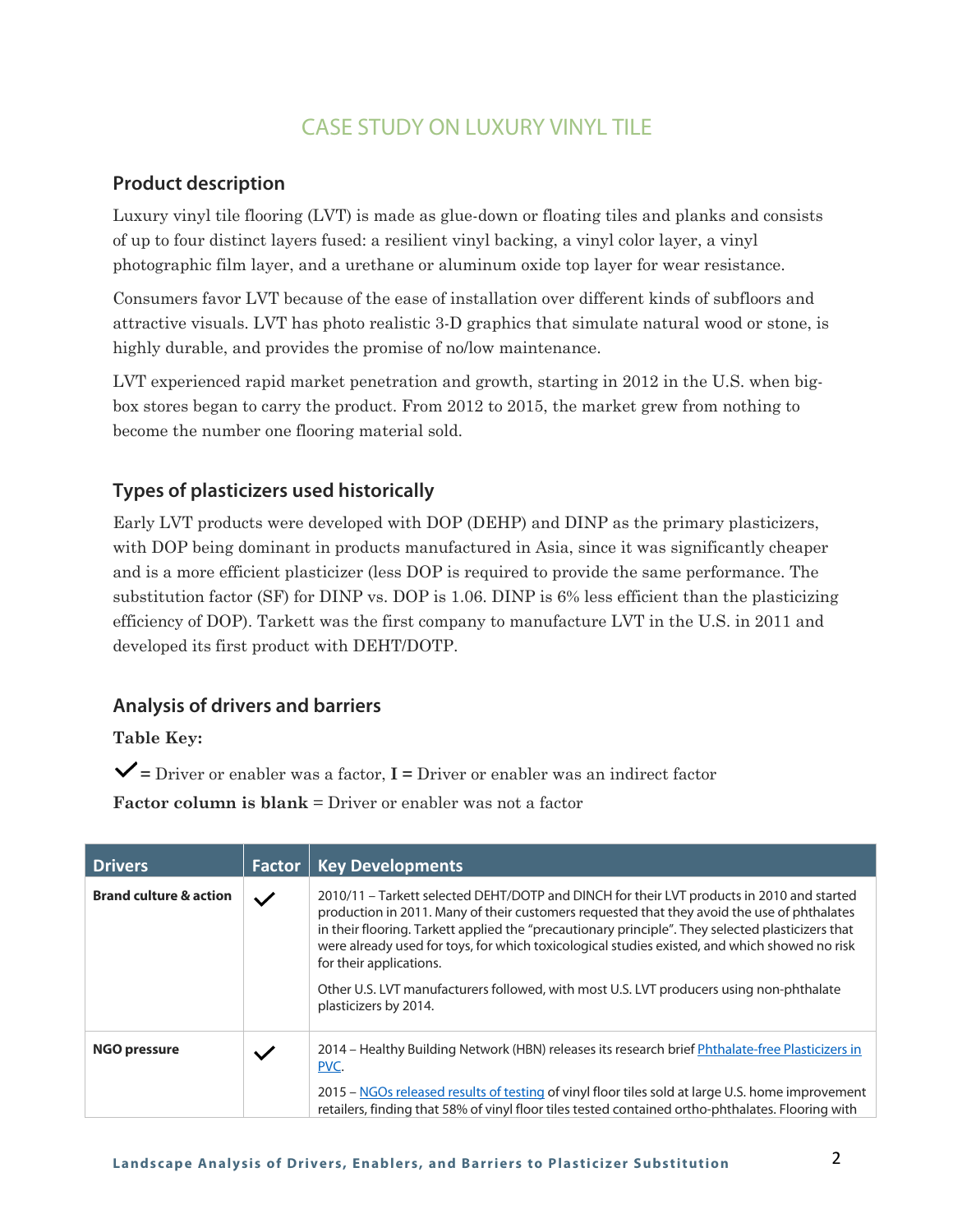## CASE STUDY ON LUXURY VINYL TILE

#### **Product description**

Luxury vinyl tile flooring (LVT) is made as glue-down or floating tiles and planks and consists of up to four distinct layers fused: a resilient vinyl backing, a vinyl color layer, a vinyl photographic film layer, and a urethane or aluminum oxide top layer for wear resistance.

Consumers favor LVT because of the ease of installation over different kinds of subfloors and attractive visuals. LVT has photo realistic 3-D graphics that simulate natural wood or stone, is highly durable, and provides the promise of no/low maintenance.

LVT experienced rapid market penetration and growth, starting in 2012 in the U.S. when bigbox stores began to carry the product. From 2012 to 2015, the market grew from nothing to become the number one flooring material sold.

#### **Types of plasticizers used historically**

Early LVT products were developed with DOP (DEHP) and DINP as the primary plasticizers, with DOP being dominant in products manufactured in Asia, since it was significantly cheaper and is a more efficient plasticizer (less DOP is required to provide the same performance. The substitution factor (SF) for DINP vs. DOP is 1.06. DINP is 6% less efficient than the plasticizing efficiency of DOP). Tarkett was the first company to manufacture LVT in the U.S. in 2011 and developed its first product with DEHT/DOTP.

#### **Analysis of drivers and barriers**

**Table Key:**

**=** Driver or enabler was a factor, **I =** Driver or enabler was an indirect factor

| <b>Drivers</b>                    | <b>Factor</b> | <b>Key Developments</b>                                                                                                                                                                                                                                                                                                                                                                                                                                                                                                                       |
|-----------------------------------|---------------|-----------------------------------------------------------------------------------------------------------------------------------------------------------------------------------------------------------------------------------------------------------------------------------------------------------------------------------------------------------------------------------------------------------------------------------------------------------------------------------------------------------------------------------------------|
| <b>Brand culture &amp; action</b> | $\checkmark$  | 2010/11 – Tarkett selected DEHT/DOTP and DINCH for their LVT products in 2010 and started<br>production in 2011. Many of their customers requested that they avoid the use of phthalates<br>in their flooring. Tarkett applied the "precautionary principle". They selected plasticizers that<br>were already used for toys, for which toxicological studies existed, and which showed no risk<br>for their applications.<br>Other U.S. LVT manufacturers followed, with most U.S. LVT producers using non-phthalate<br>plasticizers by 2014. |
| <b>NGO pressure</b>               | $\checkmark$  | 2014 – Healthy Building Network (HBN) releases its research brief Phthalate-free Plasticizers in<br>PVC.                                                                                                                                                                                                                                                                                                                                                                                                                                      |
|                                   |               | 2015 – NGOs released results of testing of vinyl floor tiles sold at large U.S. home improvement<br>retailers, finding that 58% of vinyl floor tiles tested contained ortho-phthalates. Flooring with                                                                                                                                                                                                                                                                                                                                         |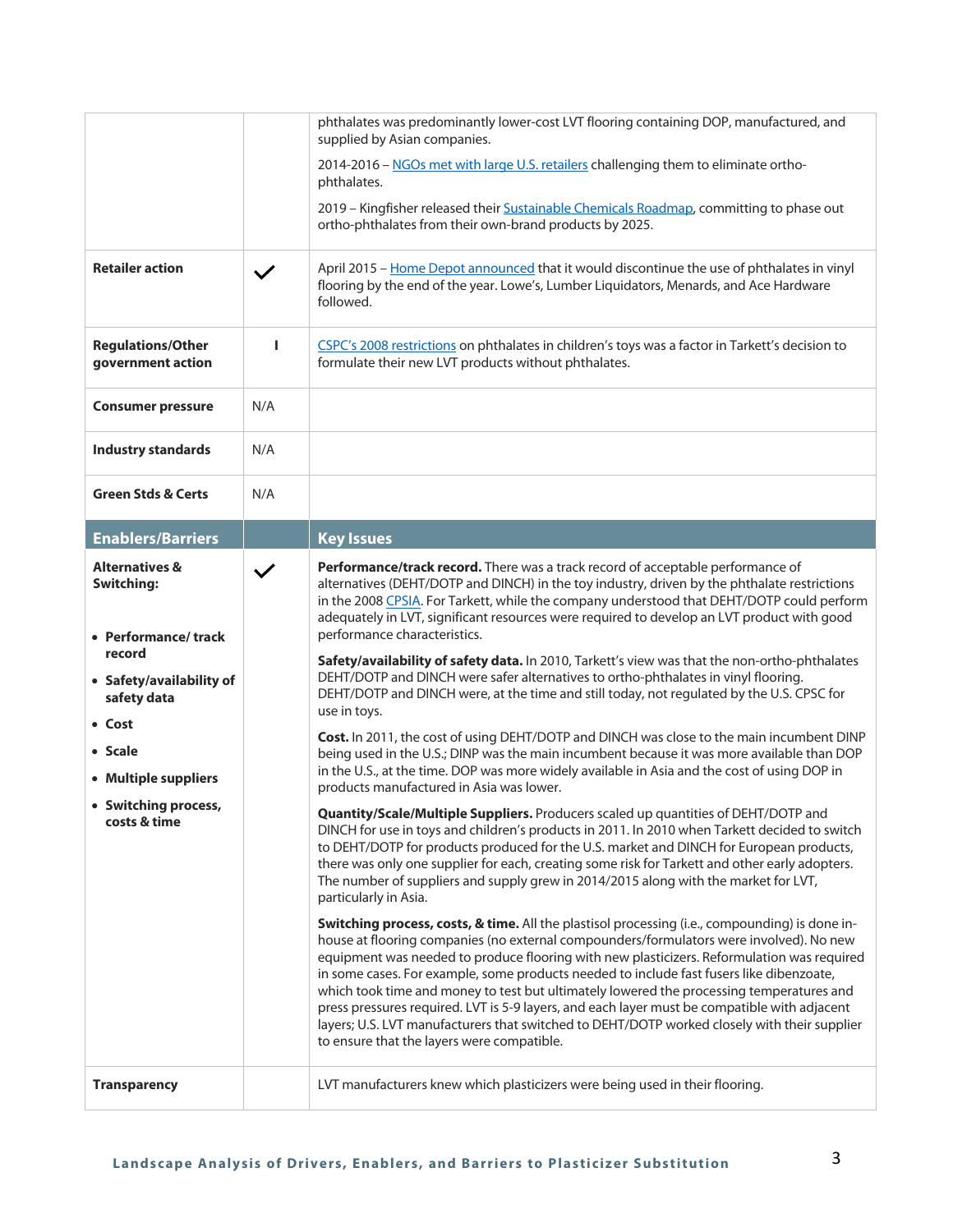|                                                                                                                                                                                                                 |              | phthalates was predominantly lower-cost LVT flooring containing DOP, manufactured, and<br>supplied by Asian companies.                                                                                                                                                                                                                                                                                                                                                                                                                                                                                                                                                                                                                                                                                                                                                                                                                                                                                                                                                                                                                                                                                                                                                                                                                                                                                                                                                                                                                                                                                                                                                                                                                                                                                                                                                                                                                                                                                                                                                                                                                                                                                                                                                                     |
|-----------------------------------------------------------------------------------------------------------------------------------------------------------------------------------------------------------------|--------------|--------------------------------------------------------------------------------------------------------------------------------------------------------------------------------------------------------------------------------------------------------------------------------------------------------------------------------------------------------------------------------------------------------------------------------------------------------------------------------------------------------------------------------------------------------------------------------------------------------------------------------------------------------------------------------------------------------------------------------------------------------------------------------------------------------------------------------------------------------------------------------------------------------------------------------------------------------------------------------------------------------------------------------------------------------------------------------------------------------------------------------------------------------------------------------------------------------------------------------------------------------------------------------------------------------------------------------------------------------------------------------------------------------------------------------------------------------------------------------------------------------------------------------------------------------------------------------------------------------------------------------------------------------------------------------------------------------------------------------------------------------------------------------------------------------------------------------------------------------------------------------------------------------------------------------------------------------------------------------------------------------------------------------------------------------------------------------------------------------------------------------------------------------------------------------------------------------------------------------------------------------------------------------------------|
|                                                                                                                                                                                                                 |              | 2014-2016 - NGOs met with large U.S. retailers challenging them to eliminate ortho-<br>phthalates.                                                                                                                                                                                                                                                                                                                                                                                                                                                                                                                                                                                                                                                                                                                                                                                                                                                                                                                                                                                                                                                                                                                                                                                                                                                                                                                                                                                                                                                                                                                                                                                                                                                                                                                                                                                                                                                                                                                                                                                                                                                                                                                                                                                         |
|                                                                                                                                                                                                                 |              | 2019 - Kingfisher released their Sustainable Chemicals Roadmap, committing to phase out<br>ortho-phthalates from their own-brand products by 2025.                                                                                                                                                                                                                                                                                                                                                                                                                                                                                                                                                                                                                                                                                                                                                                                                                                                                                                                                                                                                                                                                                                                                                                                                                                                                                                                                                                                                                                                                                                                                                                                                                                                                                                                                                                                                                                                                                                                                                                                                                                                                                                                                         |
| <b>Retailer action</b>                                                                                                                                                                                          | $\checkmark$ | April 2015 - Home Depot announced that it would discontinue the use of phthalates in vinyl<br>flooring by the end of the year. Lowe's, Lumber Liquidators, Menards, and Ace Hardware<br>followed.                                                                                                                                                                                                                                                                                                                                                                                                                                                                                                                                                                                                                                                                                                                                                                                                                                                                                                                                                                                                                                                                                                                                                                                                                                                                                                                                                                                                                                                                                                                                                                                                                                                                                                                                                                                                                                                                                                                                                                                                                                                                                          |
| <b>Regulations/Other</b><br>government action                                                                                                                                                                   | п            | CSPC's 2008 restrictions on phthalates in children's toys was a factor in Tarkett's decision to<br>formulate their new LVT products without phthalates.                                                                                                                                                                                                                                                                                                                                                                                                                                                                                                                                                                                                                                                                                                                                                                                                                                                                                                                                                                                                                                                                                                                                                                                                                                                                                                                                                                                                                                                                                                                                                                                                                                                                                                                                                                                                                                                                                                                                                                                                                                                                                                                                    |
| <b>Consumer pressure</b>                                                                                                                                                                                        | N/A          |                                                                                                                                                                                                                                                                                                                                                                                                                                                                                                                                                                                                                                                                                                                                                                                                                                                                                                                                                                                                                                                                                                                                                                                                                                                                                                                                                                                                                                                                                                                                                                                                                                                                                                                                                                                                                                                                                                                                                                                                                                                                                                                                                                                                                                                                                            |
| <b>Industry standards</b>                                                                                                                                                                                       | N/A          |                                                                                                                                                                                                                                                                                                                                                                                                                                                                                                                                                                                                                                                                                                                                                                                                                                                                                                                                                                                                                                                                                                                                                                                                                                                                                                                                                                                                                                                                                                                                                                                                                                                                                                                                                                                                                                                                                                                                                                                                                                                                                                                                                                                                                                                                                            |
| <b>Green Stds &amp; Certs</b>                                                                                                                                                                                   | N/A          |                                                                                                                                                                                                                                                                                                                                                                                                                                                                                                                                                                                                                                                                                                                                                                                                                                                                                                                                                                                                                                                                                                                                                                                                                                                                                                                                                                                                                                                                                                                                                                                                                                                                                                                                                                                                                                                                                                                                                                                                                                                                                                                                                                                                                                                                                            |
| <b>Enablers/Barriers</b>                                                                                                                                                                                        |              | <b>Key Issues</b>                                                                                                                                                                                                                                                                                                                                                                                                                                                                                                                                                                                                                                                                                                                                                                                                                                                                                                                                                                                                                                                                                                                                                                                                                                                                                                                                                                                                                                                                                                                                                                                                                                                                                                                                                                                                                                                                                                                                                                                                                                                                                                                                                                                                                                                                          |
| <b>Alternatives &amp;</b><br><b>Switching:</b><br>• Performance/track<br>record<br>• Safety/availability of<br>safety data<br>• Cost<br>• Scale<br>• Multiple suppliers<br>• Switching process,<br>costs & time | $\checkmark$ | Performance/track record. There was a track record of acceptable performance of<br>alternatives (DEHT/DOTP and DINCH) in the toy industry, driven by the phthalate restrictions<br>in the 2008 CPSIA. For Tarkett, while the company understood that DEHT/DOTP could perform<br>adequately in LVT, significant resources were required to develop an LVT product with good<br>performance characteristics.<br>Safety/availability of safety data. In 2010, Tarkett's view was that the non-ortho-phthalates<br>DEHT/DOTP and DINCH were safer alternatives to ortho-phthalates in vinyl flooring.<br>DEHT/DOTP and DINCH were, at the time and still today, not regulated by the U.S. CPSC for<br>use in toys.<br>Cost. In 2011, the cost of using DEHT/DOTP and DINCH was close to the main incumbent DINP<br>being used in the U.S.; DINP was the main incumbent because it was more available than DOP<br>in the U.S., at the time. DOP was more widely available in Asia and the cost of using DOP in<br>products manufactured in Asia was lower.<br>Quantity/Scale/Multiple Suppliers. Producers scaled up quantities of DEHT/DOTP and<br>DINCH for use in toys and children's products in 2011. In 2010 when Tarkett decided to switch<br>to DEHT/DOTP for products produced for the U.S. market and DINCH for European products,<br>there was only one supplier for each, creating some risk for Tarkett and other early adopters.<br>The number of suppliers and supply grew in 2014/2015 along with the market for LVT,<br>particularly in Asia.<br>Switching process, costs, & time. All the plastisol processing (i.e., compounding) is done in-<br>house at flooring companies (no external compounders/formulators were involved). No new<br>equipment was needed to produce flooring with new plasticizers. Reformulation was required<br>in some cases. For example, some products needed to include fast fusers like dibenzoate,<br>which took time and money to test but ultimately lowered the processing temperatures and<br>press pressures required. LVT is 5-9 layers, and each layer must be compatible with adjacent<br>layers; U.S. LVT manufacturers that switched to DEHT/DOTP worked closely with their supplier<br>to ensure that the layers were compatible. |
| <b>Transparency</b>                                                                                                                                                                                             |              | LVT manufacturers knew which plasticizers were being used in their flooring.                                                                                                                                                                                                                                                                                                                                                                                                                                                                                                                                                                                                                                                                                                                                                                                                                                                                                                                                                                                                                                                                                                                                                                                                                                                                                                                                                                                                                                                                                                                                                                                                                                                                                                                                                                                                                                                                                                                                                                                                                                                                                                                                                                                                               |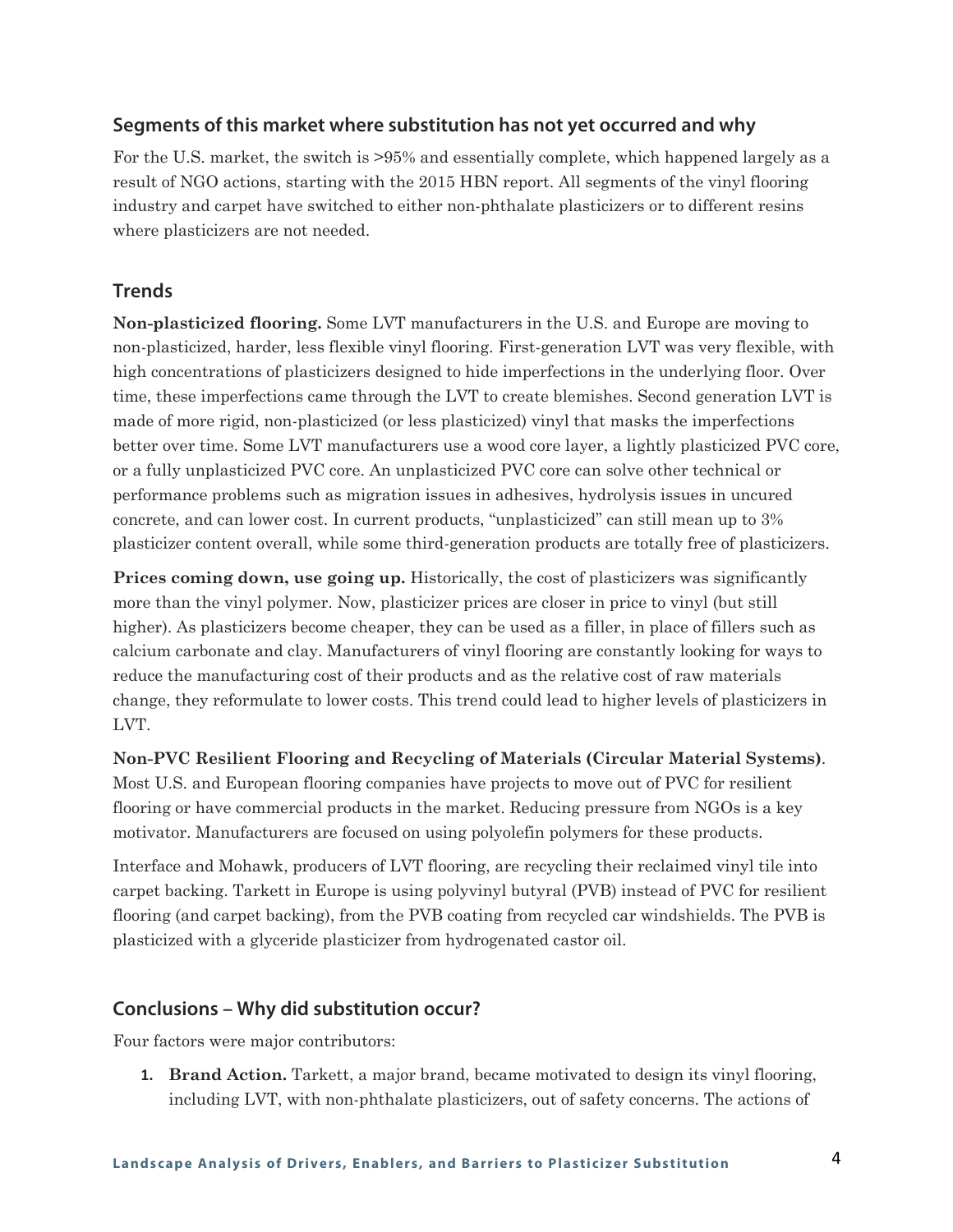For the U.S. market, the switch is >95% and essentially complete, which happened largely as a result of NGO actions, starting with the 2015 HBN report. All segments of the vinyl flooring industry and carpet have switched to either non-phthalate plasticizers or to different resins where plasticizers are not needed.

#### **Trends**

**Non-plasticized flooring.** Some LVT manufacturers in the U.S. and Europe are moving to non-plasticized, harder, less flexible vinyl flooring. First-generation LVT was very flexible, with high concentrations of plasticizers designed to hide imperfections in the underlying floor. Over time, these imperfections came through the LVT to create blemishes. Second generation LVT is made of more rigid, non-plasticized (or less plasticized) vinyl that masks the imperfections better over time. Some LVT manufacturers use a wood core layer, a lightly plasticized PVC core, or a fully unplasticized PVC core. An unplasticized PVC core can solve other technical or performance problems such as migration issues in adhesives, hydrolysis issues in uncured concrete, and can lower cost. In current products, "unplasticized" can still mean up to 3% plasticizer content overall, while some third-generation products are totally free of plasticizers.

**Prices coming down, use going up.** Historically, the cost of plasticizers was significantly more than the vinyl polymer. Now, plasticizer prices are closer in price to vinyl (but still higher). As plasticizers become cheaper, they can be used as a filler, in place of fillers such as calcium carbonate and clay. Manufacturers of vinyl flooring are constantly looking for ways to reduce the manufacturing cost of their products and as the relative cost of raw materials change, they reformulate to lower costs. This trend could lead to higher levels of plasticizers in LVT.

**Non-PVC Resilient Flooring and Recycling of Materials (Circular Material Systems)**.

Most U.S. and European flooring companies have projects to move out of PVC for resilient flooring or have commercial products in the market. Reducing pressure from NGOs is a key motivator. Manufacturers are focused on using polyolefin polymers for these products.

Interface and Mohawk, producers of LVT flooring, are recycling their reclaimed vinyl tile into carpet backing. Tarkett in Europe is using polyvinyl butyral (PVB) instead of PVC for resilient flooring (and carpet backing), from the PVB coating from recycled car windshields. The PVB is plasticized with a glyceride plasticizer from hydrogenated castor oil.

#### **Conclusions – Why did substitution occur?**

Four factors were major contributors:

**1. Brand Action.** Tarkett, a major brand, became motivated to design its vinyl flooring, including LVT, with non-phthalate plasticizers, out of safety concerns. The actions of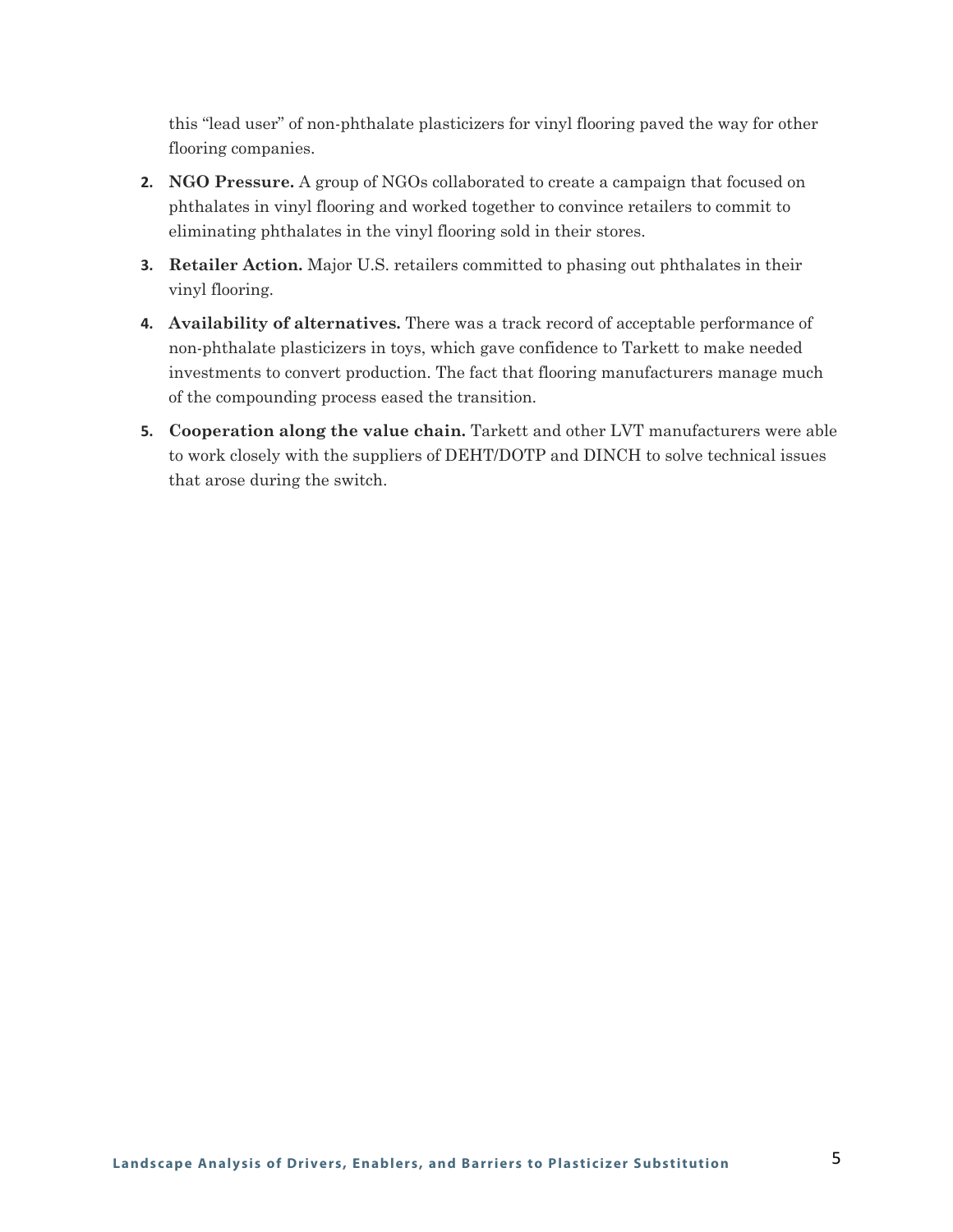this "lead user" of non-phthalate plasticizers for vinyl flooring paved the way for other flooring companies.

- **2. NGO Pressure.** A group of NGOs collaborated to create a campaign that focused on phthalates in vinyl flooring and worked together to convince retailers to commit to eliminating phthalates in the vinyl flooring sold in their stores.
- **3. Retailer Action.** Major U.S. retailers committed to phasing out phthalates in their vinyl flooring.
- **4. Availability of alternatives.** There was a track record of acceptable performance of non-phthalate plasticizers in toys, which gave confidence to Tarkett to make needed investments to convert production. The fact that flooring manufacturers manage much of the compounding process eased the transition.
- **5. Cooperation along the value chain.** Tarkett and other LVT manufacturers were able to work closely with the suppliers of DEHT/DOTP and DINCH to solve technical issues that arose during the switch.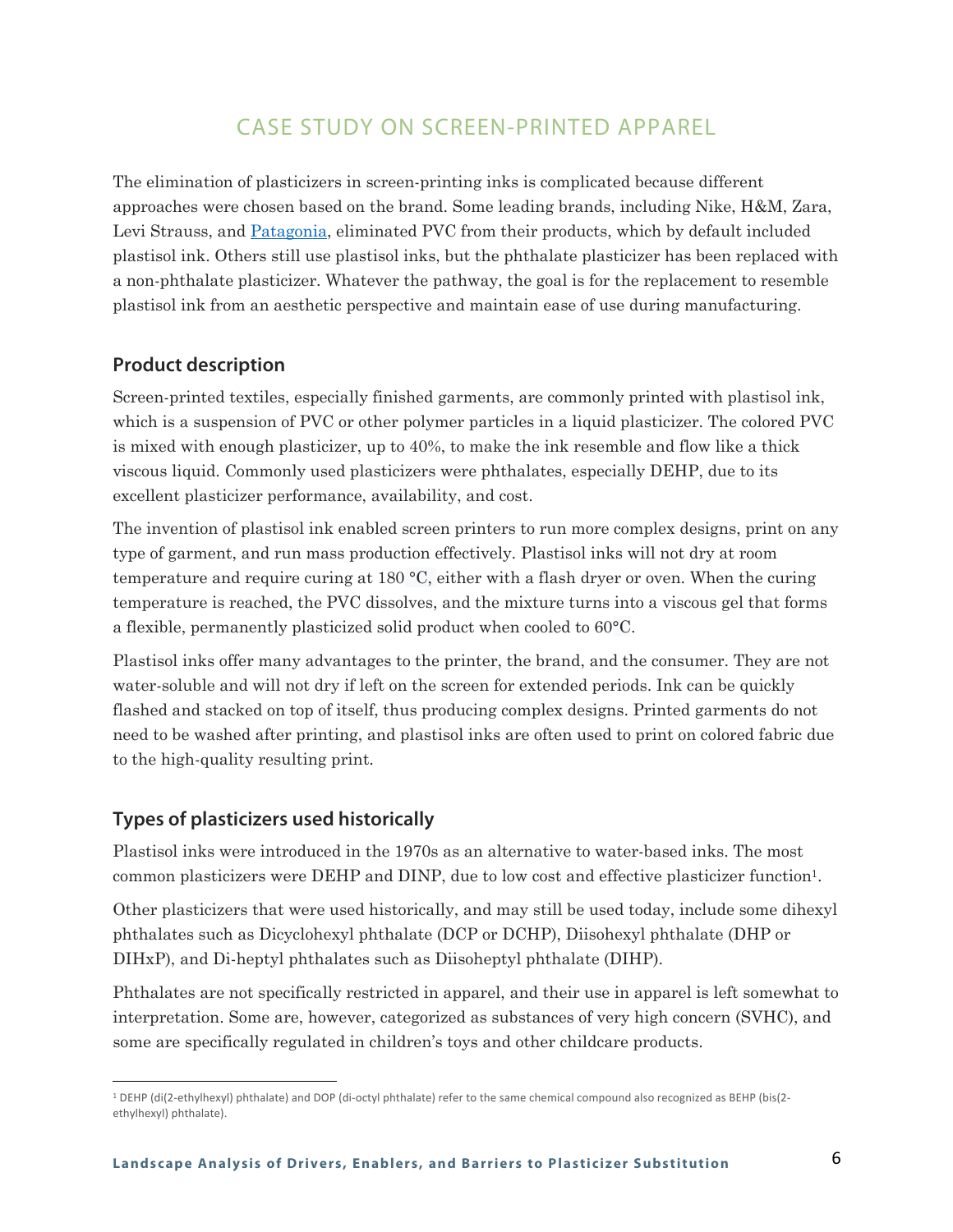## CASE STUDY ON SCREEN-PRINTED APPAREL

The elimination of plasticizers in screen-printing inks is complicated because different approaches were chosen based on the brand. Some leading brands, including Nike, H&M, Zara, Levi Strauss, and [Patagonia](https://www.patagonia.com/static/on/demandware.static/-/Library-Sites-PatagoniaShared/default/dw1f7d7a76/PDF-US/pvc_printing_inks_and_phtalates.pdf), eliminated PVC from their products, which by default included plastisol ink. Others still use plastisol inks, but the phthalate plasticizer has been replaced with a non-phthalate plasticizer. Whatever the pathway, the goal is for the replacement to resemble plastisol ink from an aesthetic perspective and maintain ease of use during manufacturing.

#### **Product description**

Screen-printed textiles, especially finished garments, are commonly printed with plastisol ink, which is a suspension of PVC or other polymer particles in a liquid plasticizer. The colored PVC is mixed with enough plasticizer, up to 40%, to make the ink resemble and flow like a thick viscous liquid. Commonly used plasticizers were phthalates, especially DEHP, due to its excellent plasticizer performance, availability, and cost.

The invention of plastisol ink enabled screen printers to run more complex designs, print on any type of garment, and run mass production effectively. Plastisol inks will not dry at room temperature and require curing at 180 °C, either with a flash dryer or oven. When the curing temperature is reached, the PVC dissolves, and the mixture turns into a viscous gel that forms a flexible, permanently plasticized solid product when cooled to 60°C.

Plastisol inks offer many advantages to the printer, the brand, and the consumer. They are not water-soluble and will not dry if left on the screen for extended periods. Ink can be quickly flashed and stacked on top of itself, thus producing complex designs. Printed garments do not need to be washed after printing, and plastisol inks are often used to print on colored fabric due to the high-quality resulting print.

#### **Types of plasticizers used historically**

Plastisol inks were introduced in the 1970s as an alternative to water-based inks. The most common plasticizers were DEHP and DINP, due to low cost and effective plasticizer function1.

Other plasticizers that were used historically, and may still be used today, include some dihexyl phthalates such as Dicyclohexyl phthalate (DCP or DCHP), Diisohexyl phthalate (DHP or DIHxP), and Di-heptyl phthalates such as Diisoheptyl phthalate (DIHP).

Phthalates are not specifically restricted in apparel, and their use in apparel is left somewhat to interpretation. Some are, however, categorized as substances of very high concern (SVHC), and some are specifically regulated in children's toys and other childcare products.

<sup>1</sup> DEHP (di(2-ethylhexyl) phthalate) and DOP (di-octyl phthalate) refer to the same chemical compound also recognized as BEHP (bis(2 ethylhexyl) phthalate).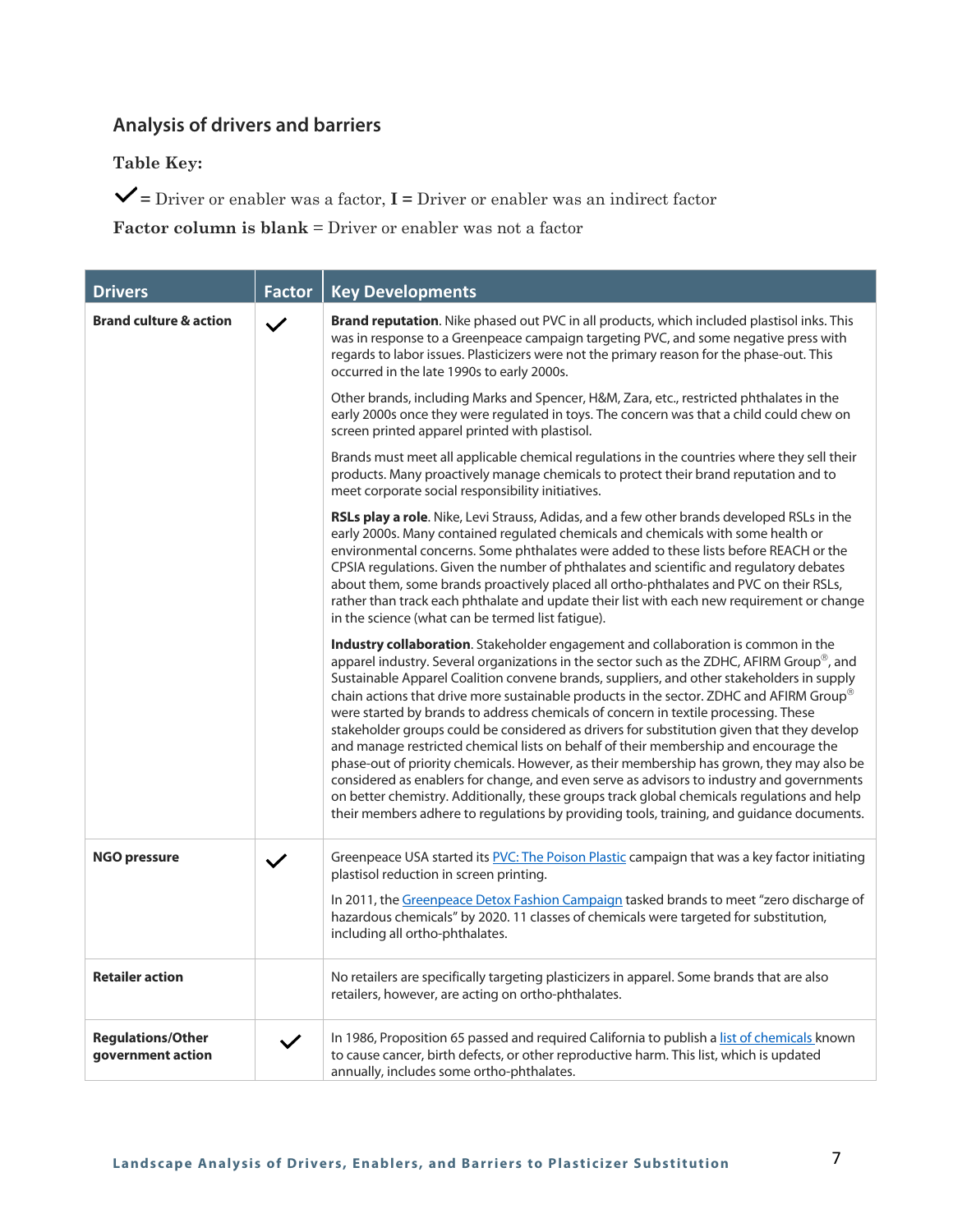## **Analysis of drivers and barriers**

**Table Key:**

 $\blacktriangledown$  = Driver or enabler was a factor,  $\textbf{I}$  = Driver or enabler was an indirect factor

| <b>Drivers</b>                                | <b>Factor</b> | <b>Key Developments</b>                                                                                                                                                                                                                                                                                                                                                                                                                                                                                                                                                                                                                                                                                                                                                                                                                                                                                                                                                                                                                   |
|-----------------------------------------------|---------------|-------------------------------------------------------------------------------------------------------------------------------------------------------------------------------------------------------------------------------------------------------------------------------------------------------------------------------------------------------------------------------------------------------------------------------------------------------------------------------------------------------------------------------------------------------------------------------------------------------------------------------------------------------------------------------------------------------------------------------------------------------------------------------------------------------------------------------------------------------------------------------------------------------------------------------------------------------------------------------------------------------------------------------------------|
| <b>Brand culture &amp; action</b>             | $\checkmark$  | Brand reputation. Nike phased out PVC in all products, which included plastisol inks. This<br>was in response to a Greenpeace campaign targeting PVC, and some negative press with<br>regards to labor issues. Plasticizers were not the primary reason for the phase-out. This<br>occurred in the late 1990s to early 2000s.                                                                                                                                                                                                                                                                                                                                                                                                                                                                                                                                                                                                                                                                                                             |
|                                               |               | Other brands, including Marks and Spencer, H&M, Zara, etc., restricted phthalates in the<br>early 2000s once they were regulated in toys. The concern was that a child could chew on<br>screen printed apparel printed with plastisol.                                                                                                                                                                                                                                                                                                                                                                                                                                                                                                                                                                                                                                                                                                                                                                                                    |
|                                               |               | Brands must meet all applicable chemical regulations in the countries where they sell their<br>products. Many proactively manage chemicals to protect their brand reputation and to<br>meet corporate social responsibility initiatives.                                                                                                                                                                                                                                                                                                                                                                                                                                                                                                                                                                                                                                                                                                                                                                                                  |
|                                               |               | RSLs play a role. Nike, Levi Strauss, Adidas, and a few other brands developed RSLs in the<br>early 2000s. Many contained regulated chemicals and chemicals with some health or<br>environmental concerns. Some phthalates were added to these lists before REACH or the<br>CPSIA regulations. Given the number of phthalates and scientific and regulatory debates<br>about them, some brands proactively placed all ortho-phthalates and PVC on their RSLs,<br>rather than track each phthalate and update their list with each new requirement or change<br>in the science (what can be termed list fatigue).                                                                                                                                                                                                                                                                                                                                                                                                                          |
|                                               |               | Industry collaboration. Stakeholder engagement and collaboration is common in the<br>apparel industry. Several organizations in the sector such as the ZDHC, AFIRM Group®, and<br>Sustainable Apparel Coalition convene brands, suppliers, and other stakeholders in supply<br>chain actions that drive more sustainable products in the sector. ZDHC and AFIRM Group®<br>were started by brands to address chemicals of concern in textile processing. These<br>stakeholder groups could be considered as drivers for substitution given that they develop<br>and manage restricted chemical lists on behalf of their membership and encourage the<br>phase-out of priority chemicals. However, as their membership has grown, they may also be<br>considered as enablers for change, and even serve as advisors to industry and governments<br>on better chemistry. Additionally, these groups track global chemicals regulations and help<br>their members adhere to regulations by providing tools, training, and guidance documents. |
| <b>NGO pressure</b>                           | $\checkmark$  | Greenpeace USA started its PVC: The Poison Plastic campaign that was a key factor initiating<br>plastisol reduction in screen printing.<br>In 2011, the Greenpeace Detox Fashion Campaign tasked brands to meet "zero discharge of<br>hazardous chemicals" by 2020. 11 classes of chemicals were targeted for substitution,<br>including all ortho-phthalates.                                                                                                                                                                                                                                                                                                                                                                                                                                                                                                                                                                                                                                                                            |
| <b>Retailer action</b>                        |               | No retailers are specifically targeting plasticizers in apparel. Some brands that are also<br>retailers, however, are acting on ortho-phthalates.                                                                                                                                                                                                                                                                                                                                                                                                                                                                                                                                                                                                                                                                                                                                                                                                                                                                                         |
| <b>Regulations/Other</b><br>government action | $\checkmark$  | In 1986, Proposition 65 passed and required California to publish a list of chemicals known<br>to cause cancer, birth defects, or other reproductive harm. This list, which is updated<br>annually, includes some ortho-phthalates.                                                                                                                                                                                                                                                                                                                                                                                                                                                                                                                                                                                                                                                                                                                                                                                                       |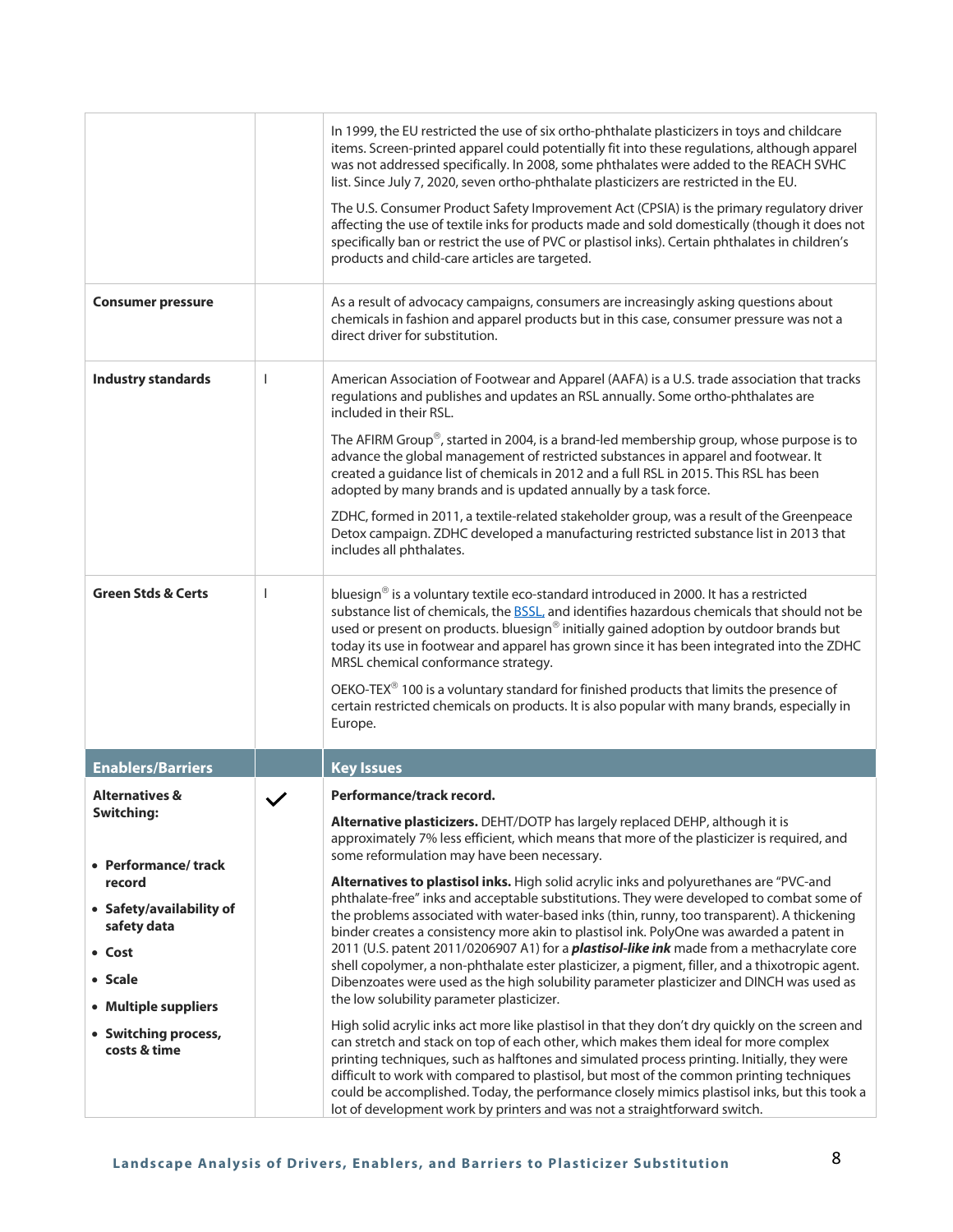| <b>Consumer pressure</b>                                                                                                                                      |   | In 1999, the EU restricted the use of six ortho-phthalate plasticizers in toys and childcare<br>items. Screen-printed apparel could potentially fit into these regulations, although apparel<br>was not addressed specifically. In 2008, some phthalates were added to the REACH SVHC<br>list. Since July 7, 2020, seven ortho-phthalate plasticizers are restricted in the EU.<br>The U.S. Consumer Product Safety Improvement Act (CPSIA) is the primary regulatory driver<br>affecting the use of textile inks for products made and sold domestically (though it does not<br>specifically ban or restrict the use of PVC or plastisol inks). Certain phthalates in children's<br>products and child-care articles are targeted.<br>As a result of advocacy campaigns, consumers are increasingly asking questions about                                                                                                                                            |
|---------------------------------------------------------------------------------------------------------------------------------------------------------------|---|------------------------------------------------------------------------------------------------------------------------------------------------------------------------------------------------------------------------------------------------------------------------------------------------------------------------------------------------------------------------------------------------------------------------------------------------------------------------------------------------------------------------------------------------------------------------------------------------------------------------------------------------------------------------------------------------------------------------------------------------------------------------------------------------------------------------------------------------------------------------------------------------------------------------------------------------------------------------|
|                                                                                                                                                               |   | chemicals in fashion and apparel products but in this case, consumer pressure was not a<br>direct driver for substitution.                                                                                                                                                                                                                                                                                                                                                                                                                                                                                                                                                                                                                                                                                                                                                                                                                                             |
| <b>Industry standards</b>                                                                                                                                     | T | American Association of Footwear and Apparel (AAFA) is a U.S. trade association that tracks<br>regulations and publishes and updates an RSL annually. Some ortho-phthalates are<br>included in their RSL.<br>The AFIRM Group®, started in 2004, is a brand-led membership group, whose purpose is to<br>advance the global management of restricted substances in apparel and footwear. It<br>created a guidance list of chemicals in 2012 and a full RSL in 2015. This RSL has been<br>adopted by many brands and is updated annually by a task force.<br>ZDHC, formed in 2011, a textile-related stakeholder group, was a result of the Greenpeace<br>Detox campaign. ZDHC developed a manufacturing restricted substance list in 2013 that<br>includes all phthalates.                                                                                                                                                                                              |
| <b>Green Stds &amp; Certs</b>                                                                                                                                 | T | bluesign® is a voluntary textile eco-standard introduced in 2000. It has a restricted<br>substance list of chemicals, the <b>BSSL</b> , and identifies hazardous chemicals that should not be<br>used or present on products. bluesign® initially gained adoption by outdoor brands but<br>today its use in footwear and apparel has grown since it has been integrated into the ZDHC<br>MRSL chemical conformance strategy.<br>OEKO-TEX® 100 is a voluntary standard for finished products that limits the presence of<br>certain restricted chemicals on products. It is also popular with many brands, especially in<br>Europe.                                                                                                                                                                                                                                                                                                                                     |
| <b>Enablers/Barriers</b>                                                                                                                                      |   | <b>Key Issues</b>                                                                                                                                                                                                                                                                                                                                                                                                                                                                                                                                                                                                                                                                                                                                                                                                                                                                                                                                                      |
| <b>Alternatives &amp;</b><br>Switching:                                                                                                                       |   | Performance/track record.<br>Alternative plasticizers. DEHT/DOTP has largely replaced DEHP, although it is<br>approximately 7% less efficient, which means that more of the plasticizer is required, and                                                                                                                                                                                                                                                                                                                                                                                                                                                                                                                                                                                                                                                                                                                                                               |
| • Performance/track<br>record<br>• Safety/availability of<br>safety data<br>• Cost<br>• Scale<br>• Multiple suppliers<br>• Switching process,<br>costs & time |   | some reformulation may have been necessary.<br>Alternatives to plastisol inks. High solid acrylic inks and polyurethanes are "PVC-and<br>phthalate-free" inks and acceptable substitutions. They were developed to combat some of<br>the problems associated with water-based inks (thin, runny, too transparent). A thickening<br>binder creates a consistency more akin to plastisol ink. PolyOne was awarded a patent in<br>2011 (U.S. patent 2011/0206907 A1) for a <i>plastisol-like ink</i> made from a methacrylate core<br>shell copolymer, a non-phthalate ester plasticizer, a pigment, filler, and a thixotropic agent.<br>Dibenzoates were used as the high solubility parameter plasticizer and DINCH was used as<br>the low solubility parameter plasticizer.<br>High solid acrylic inks act more like plastisol in that they don't dry quickly on the screen and<br>can stretch and stack on top of each other, which makes them ideal for more complex |
|                                                                                                                                                               |   | printing techniques, such as halftones and simulated process printing. Initially, they were<br>difficult to work with compared to plastisol, but most of the common printing techniques<br>could be accomplished. Today, the performance closely mimics plastisol inks, but this took a<br>lot of development work by printers and was not a straightforward switch.                                                                                                                                                                                                                                                                                                                                                                                                                                                                                                                                                                                                   |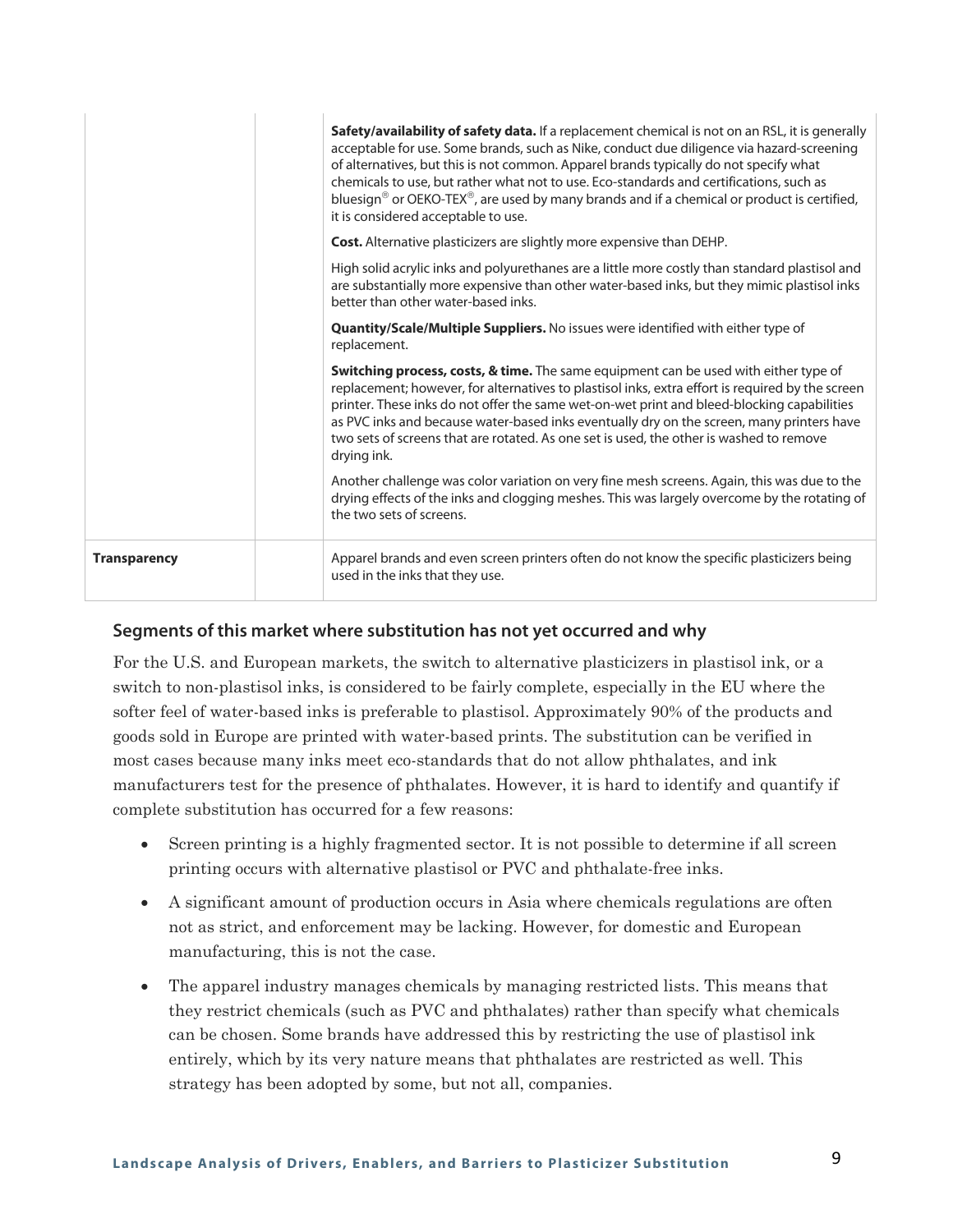|                     | Safety/availability of safety data. If a replacement chemical is not on an RSL, it is generally<br>acceptable for use. Some brands, such as Nike, conduct due diligence via hazard-screening<br>of alternatives, but this is not common. Apparel brands typically do not specify what<br>chemicals to use, but rather what not to use. Eco-standards and certifications, such as<br>bluesign <sup>®</sup> or OEKO-TEX <sup>®</sup> , are used by many brands and if a chemical or product is certified,<br>it is considered acceptable to use. |
|---------------------|------------------------------------------------------------------------------------------------------------------------------------------------------------------------------------------------------------------------------------------------------------------------------------------------------------------------------------------------------------------------------------------------------------------------------------------------------------------------------------------------------------------------------------------------|
|                     | <b>Cost.</b> Alternative plasticizers are slightly more expensive than DEHP.                                                                                                                                                                                                                                                                                                                                                                                                                                                                   |
|                     | High solid acrylic inks and polyurethanes are a little more costly than standard plastisol and<br>are substantially more expensive than other water-based inks, but they mimic plastisol inks<br>better than other water-based inks.                                                                                                                                                                                                                                                                                                           |
|                     | <b>Quantity/Scale/Multiple Suppliers.</b> No issues were identified with either type of<br>replacement.                                                                                                                                                                                                                                                                                                                                                                                                                                        |
|                     | <b>Switching process, costs, &amp; time.</b> The same equipment can be used with either type of<br>replacement; however, for alternatives to plastisol inks, extra effort is required by the screen<br>printer. These inks do not offer the same wet-on-wet print and bleed-blocking capabilities<br>as PVC inks and because water-based inks eventually dry on the screen, many printers have<br>two sets of screens that are rotated. As one set is used, the other is washed to remove<br>drying ink.                                       |
|                     | Another challenge was color variation on very fine mesh screens. Again, this was due to the<br>drying effects of the inks and clogging meshes. This was largely overcome by the rotating of<br>the two sets of screens.                                                                                                                                                                                                                                                                                                                        |
| <b>Transparency</b> | Apparel brands and even screen printers often do not know the specific plasticizers being<br>used in the inks that they use.                                                                                                                                                                                                                                                                                                                                                                                                                   |

For the U.S. and European markets, the switch to alternative plasticizers in plastisol ink, or a switch to non-plastisol inks, is considered to be fairly complete, especially in the EU where the softer feel of water-based inks is preferable to plastisol. Approximately 90% of the products and goods sold in Europe are printed with water-based prints. The substitution can be verified in most cases because many inks meet eco-standards that do not allow phthalates, and ink manufacturers test for the presence of phthalates. However, it is hard to identify and quantify if complete substitution has occurred for a few reasons:

- Screen printing is a highly fragmented sector. It is not possible to determine if all screen printing occurs with alternative plastisol or PVC and phthalate-free inks.
- A significant amount of production occurs in Asia where chemicals regulations are often not as strict, and enforcement may be lacking. However, for domestic and European manufacturing, this is not the case.
- The apparel industry manages chemicals by managing restricted lists. This means that they restrict chemicals (such as PVC and phthalates) rather than specify what chemicals can be chosen. Some brands have addressed this by restricting the use of plastisol ink entirely, which by its very nature means that phthalates are restricted as well. This strategy has been adopted by some, but not all, companies.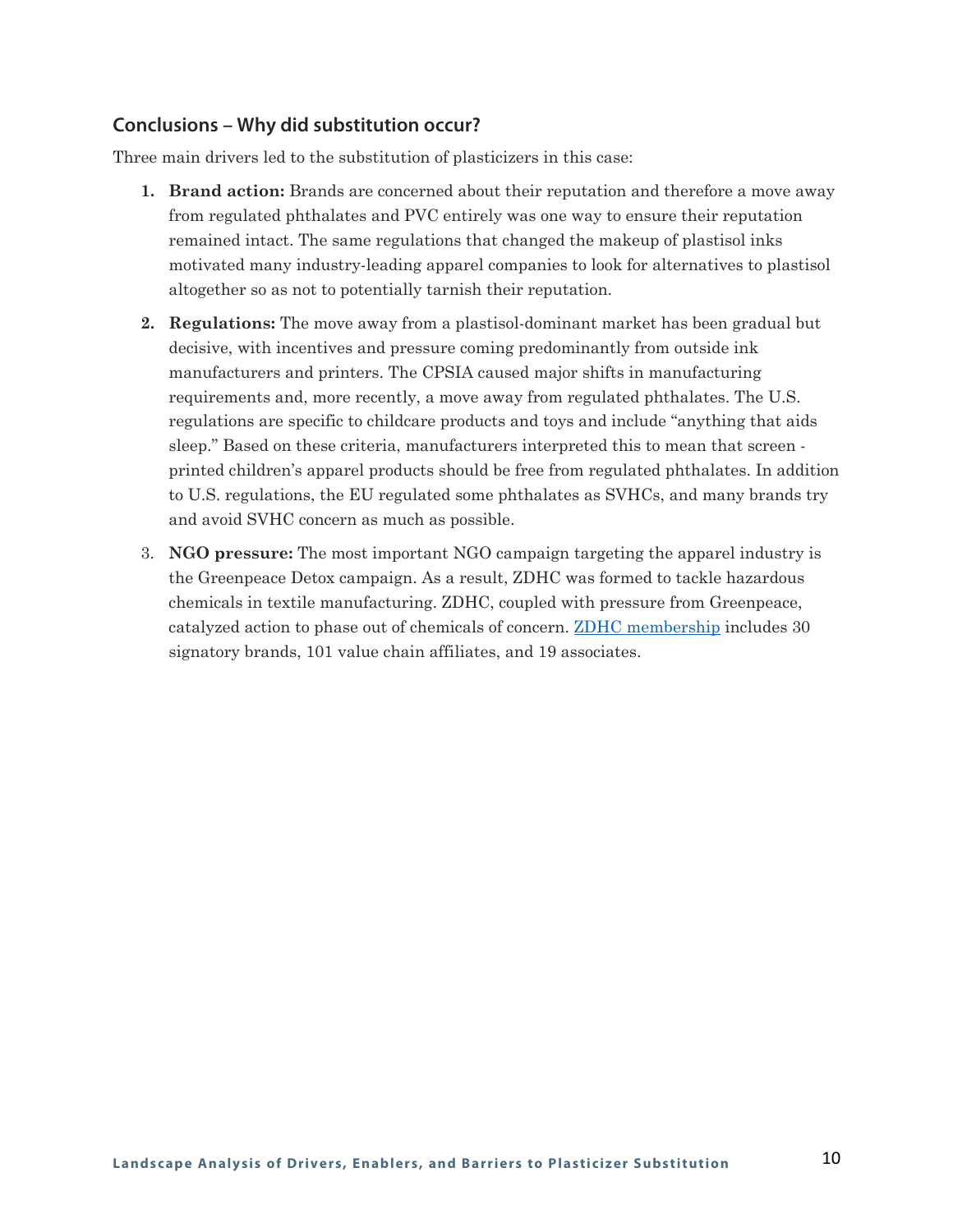#### **Conclusions – Why did substitution occur?**

Three main drivers led to the substitution of plasticizers in this case:

- **1. Brand action:** Brands are concerned about their reputation and therefore a move away from regulated phthalates and PVC entirely was one way to ensure their reputation remained intact. The same regulations that changed the makeup of plastisol inks motivated many industry-leading apparel companies to look for alternatives to plastisol altogether so as not to potentially tarnish their reputation.
- **2. Regulations:** The move away from a plastisol-dominant market has been gradual but decisive, with incentives and pressure coming predominantly from outside ink manufacturers and printers. The CPSIA caused major shifts in manufacturing requirements and, more recently, a move away from regulated phthalates. The U.S. regulations are specific to childcare products and toys and include "anything that aids sleep." Based on these criteria, manufacturers interpreted this to mean that screen printed children's apparel products should be free from regulated phthalates. In addition to U.S. regulations, the EU regulated some phthalates as SVHCs, and many brands try and avoid SVHC concern as much as possible.
- 3. **NGO pressure:** The most important NGO campaign targeting the apparel industry is the Greenpeace Detox campaign. As a result, ZDHC was formed to tackle hazardous chemicals in textile manufacturing. ZDHC, coupled with pressure from Greenpeace, catalyzed action to phase out of chemicals of concern. [ZDHC membership](https://www.roadmaptozero.com/impact-report#How-We-Started) includes 30 signatory brands, 101 value chain affiliates, and 19 associates.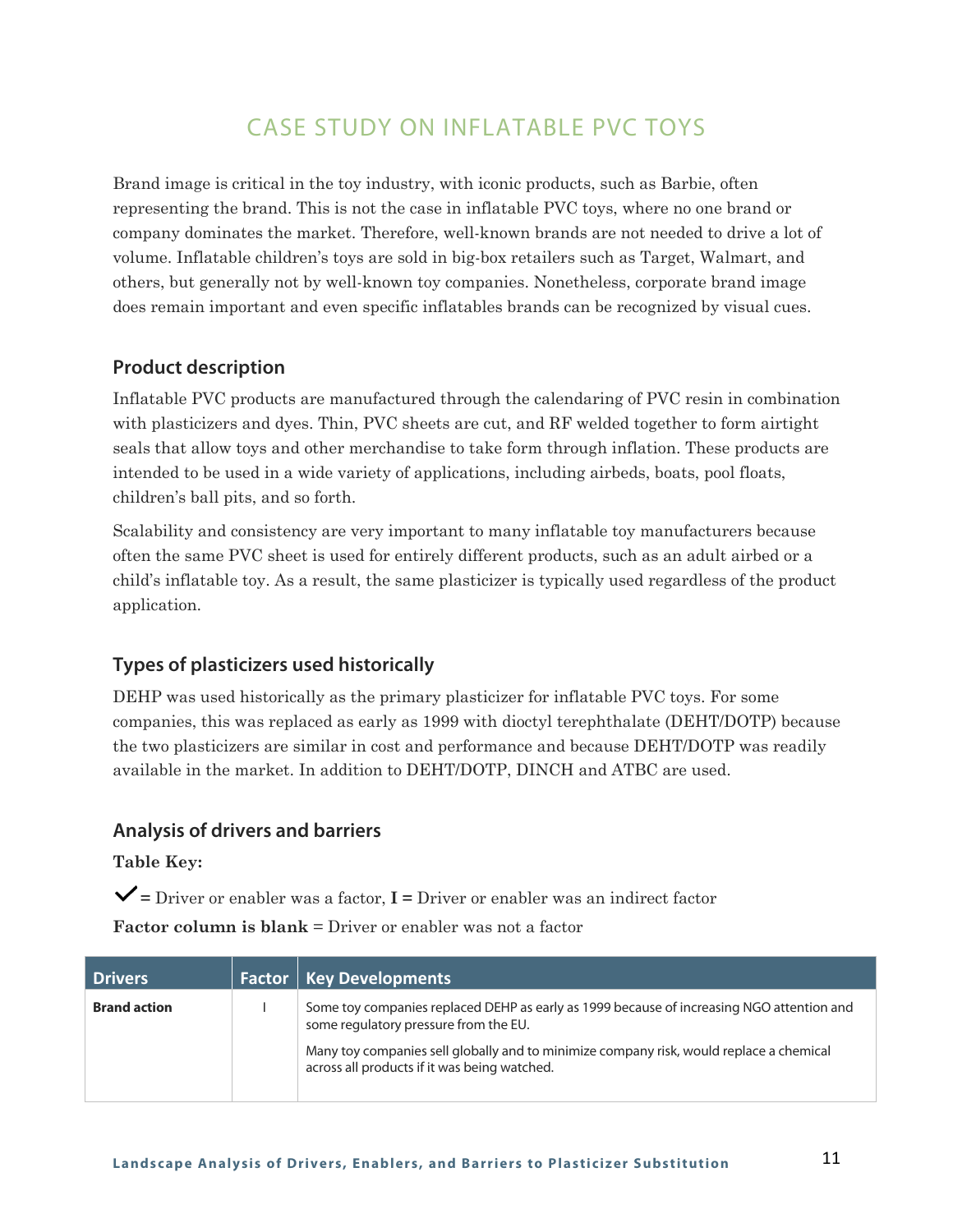## CASE STUDY ON INFLATABLE PVC TOYS

Brand image is critical in the toy industry, with iconic products, such as Barbie, often representing the brand. This is not the case in inflatable PVC toys, where no one brand or company dominates the market. Therefore, well-known brands are not needed to drive a lot of volume. Inflatable children's toys are sold in big-box retailers such as Target, Walmart, and others, but generally not by well-known toy companies. Nonetheless, corporate brand image does remain important and even specific inflatables brands can be recognized by visual cues.

#### **Product description**

Inflatable PVC products are manufactured through the calendaring of PVC resin in combination with plasticizers and dyes. Thin, PVC sheets are cut, and RF welded together to form airtight seals that allow toys and other merchandise to take form through inflation. These products are intended to be used in a wide variety of applications, including airbeds, boats, pool floats, children's ball pits, and so forth.

Scalability and consistency are very important to many inflatable toy manufacturers because often the same PVC sheet is used for entirely different products, such as an adult airbed or a child's inflatable toy. As a result, the same plasticizer is typically used regardless of the product application.

#### **Types of plasticizers used historically**

DEHP was used historically as the primary plasticizer for inflatable PVC toys. For some companies, this was replaced as early as 1999 with dioctyl terephthalate (DEHT/DOTP) because the two plasticizers are similar in cost and performance and because DEHT/DOTP was readily available in the market. In addition to DEHT/DOTP, DINCH and ATBC are used.

#### **Analysis of drivers and barriers**

**Table Key:**

**=** Driver or enabler was a factor, **I =** Driver or enabler was an indirect factor

| <b>Drivers</b>      | <b>Factor   Key Developments</b>                                                                                                        |
|---------------------|-----------------------------------------------------------------------------------------------------------------------------------------|
| <b>Brand action</b> | Some toy companies replaced DEHP as early as 1999 because of increasing NGO attention and<br>some regulatory pressure from the EU.      |
|                     | Many toy companies sell globally and to minimize company risk, would replace a chemical<br>across all products if it was being watched. |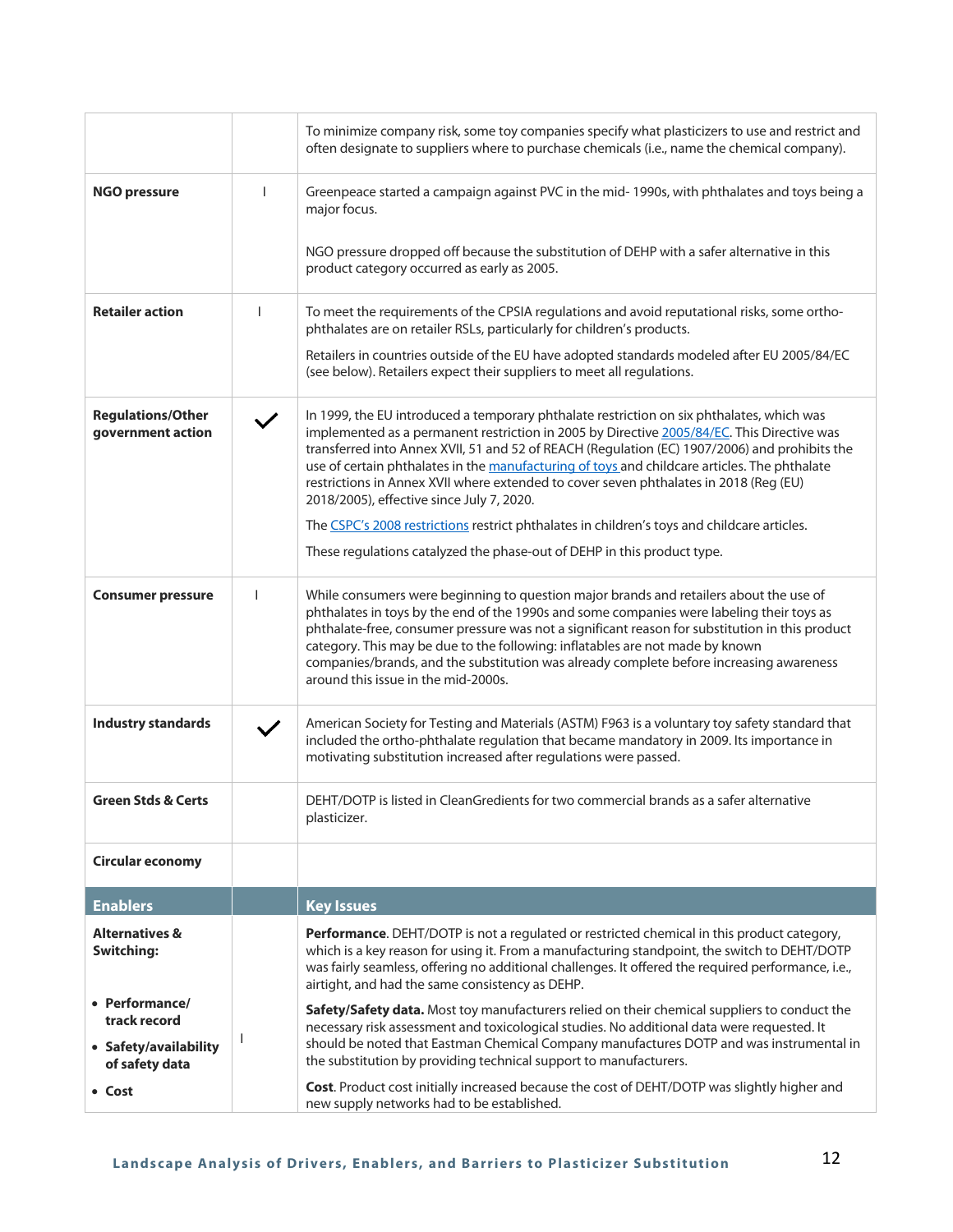|                                                                           |              | To minimize company risk, some toy companies specify what plasticizers to use and restrict and<br>often designate to suppliers where to purchase chemicals (i.e., name the chemical company).                                                                                                                                                                                                                                                                                                                                  |
|---------------------------------------------------------------------------|--------------|--------------------------------------------------------------------------------------------------------------------------------------------------------------------------------------------------------------------------------------------------------------------------------------------------------------------------------------------------------------------------------------------------------------------------------------------------------------------------------------------------------------------------------|
| <b>NGO pressure</b>                                                       |              | Greenpeace started a campaign against PVC in the mid-1990s, with phthalates and toys being a<br>major focus.                                                                                                                                                                                                                                                                                                                                                                                                                   |
|                                                                           |              | NGO pressure dropped off because the substitution of DEHP with a safer alternative in this<br>product category occurred as early as 2005.                                                                                                                                                                                                                                                                                                                                                                                      |
| <b>Retailer action</b>                                                    | ı            | To meet the requirements of the CPSIA regulations and avoid reputational risks, some ortho-<br>phthalates are on retailer RSLs, particularly for children's products.                                                                                                                                                                                                                                                                                                                                                          |
|                                                                           |              | Retailers in countries outside of the EU have adopted standards modeled after EU 2005/84/EC<br>(see below). Retailers expect their suppliers to meet all regulations.                                                                                                                                                                                                                                                                                                                                                          |
| <b>Regulations/Other</b><br>government action                             |              | In 1999, the EU introduced a temporary phthalate restriction on six phthalates, which was<br>implemented as a permanent restriction in 2005 by Directive 2005/84/EC. This Directive was<br>transferred into Annex XVII, 51 and 52 of REACH (Regulation (EC) 1907/2006) and prohibits the<br>use of certain phthalates in the manufacturing of toys and childcare articles. The phthalate<br>restrictions in Annex XVII where extended to cover seven phthalates in 2018 (Reg (EU)<br>2018/2005), effective since July 7, 2020. |
|                                                                           |              | The CSPC's 2008 restrictions restrict phthalates in children's toys and childcare articles.                                                                                                                                                                                                                                                                                                                                                                                                                                    |
|                                                                           |              | These regulations catalyzed the phase-out of DEHP in this product type.                                                                                                                                                                                                                                                                                                                                                                                                                                                        |
| <b>Consumer pressure</b>                                                  | $\mathbf{I}$ | While consumers were beginning to question major brands and retailers about the use of<br>phthalates in toys by the end of the 1990s and some companies were labeling their toys as<br>phthalate-free, consumer pressure was not a significant reason for substitution in this product<br>category. This may be due to the following: inflatables are not made by known<br>companies/brands, and the substitution was already complete before increasing awareness<br>around this issue in the mid-2000s.                      |
| <b>Industry standards</b>                                                 |              | American Society for Testing and Materials (ASTM) F963 is a voluntary toy safety standard that<br>included the ortho-phthalate regulation that became mandatory in 2009. Its importance in<br>motivating substitution increased after regulations were passed.                                                                                                                                                                                                                                                                 |
| <b>Green Stds &amp; Certs</b>                                             |              | DEHT/DOTP is listed in CleanGredients for two commercial brands as a safer alternative<br>plasticizer.                                                                                                                                                                                                                                                                                                                                                                                                                         |
| <b>Circular economy</b>                                                   |              |                                                                                                                                                                                                                                                                                                                                                                                                                                                                                                                                |
| <b>Enablers</b>                                                           |              | <b>Key Issues</b>                                                                                                                                                                                                                                                                                                                                                                                                                                                                                                              |
| <b>Alternatives &amp;</b><br>Switching:                                   |              | Performance. DEHT/DOTP is not a regulated or restricted chemical in this product category,<br>which is a key reason for using it. From a manufacturing standpoint, the switch to DEHT/DOTP<br>was fairly seamless, offering no additional challenges. It offered the required performance, i.e.,<br>airtight, and had the same consistency as DEHP.                                                                                                                                                                            |
| • Performance/<br>track record<br>• Safety/availability<br>of safety data | <b>I</b>     | Safety/Safety data. Most toy manufacturers relied on their chemical suppliers to conduct the<br>necessary risk assessment and toxicological studies. No additional data were requested. It<br>should be noted that Eastman Chemical Company manufactures DOTP and was instrumental in<br>the substitution by providing technical support to manufacturers.                                                                                                                                                                     |
| • Cost                                                                    |              | Cost. Product cost initially increased because the cost of DEHT/DOTP was slightly higher and<br>new supply networks had to be established.                                                                                                                                                                                                                                                                                                                                                                                     |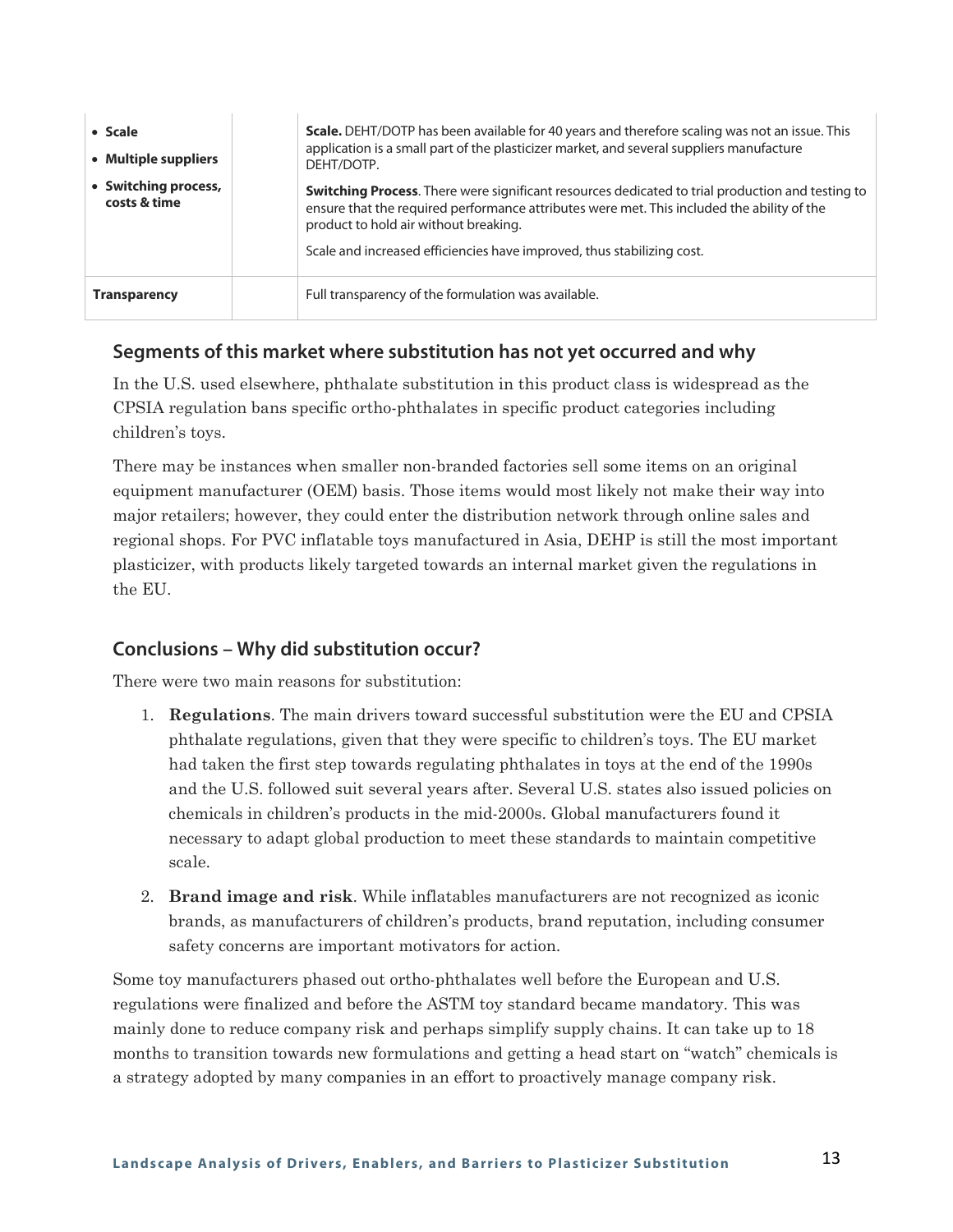| • Scale<br>• Multiple suppliers      | <b>Scale.</b> DEHT/DOTP has been available for 40 years and therefore scaling was not an issue. This<br>application is a small part of the plasticizer market, and several suppliers manufacture<br>DEHT/DOTP.                                                                                                           |
|--------------------------------------|--------------------------------------------------------------------------------------------------------------------------------------------------------------------------------------------------------------------------------------------------------------------------------------------------------------------------|
| • Switching process,<br>costs & time | <b>Switching Process.</b> There were significant resources dedicated to trial production and testing to<br>ensure that the required performance attributes were met. This included the ability of the<br>product to hold air without breaking.<br>Scale and increased efficiencies have improved, thus stabilizing cost. |
| <b>Transparency</b>                  | Full transparency of the formulation was available.                                                                                                                                                                                                                                                                      |

In the U.S. used elsewhere, phthalate substitution in this product class is widespread as the CPSIA regulation bans specific ortho-phthalates in specific product categories including children's toys.

There may be instances when smaller non-branded factories sell some items on an original equipment manufacturer (OEM) basis. Those items would most likely not make their way into major retailers; however, they could enter the distribution network through online sales and regional shops. For PVC inflatable toys manufactured in Asia, DEHP is still the most important plasticizer, with products likely targeted towards an internal market given the regulations in the EU.

#### **Conclusions – Why did substitution occur?**

There were two main reasons for substitution:

- 1. **Regulations**. The main drivers toward successful substitution were the EU and CPSIA phthalate regulations, given that they were specific to children's toys. The EU market had taken the first step towards regulating phthalates in toys at the end of the 1990s and the U.S. followed suit several years after. Several U.S. states also issued policies on chemicals in children's products in the mid-2000s. Global manufacturers found it necessary to adapt global production to meet these standards to maintain competitive scale.
- 2. **Brand image and risk**. While inflatables manufacturers are not recognized as iconic brands, as manufacturers of children's products, brand reputation, including consumer safety concerns are important motivators for action.

Some toy manufacturers phased out ortho-phthalates well before the European and U.S. regulations were finalized and before the ASTM toy standard became mandatory. This was mainly done to reduce company risk and perhaps simplify supply chains. It can take up to 18 months to transition towards new formulations and getting a head start on "watch" chemicals is a strategy adopted by many companies in an effort to proactively manage company risk.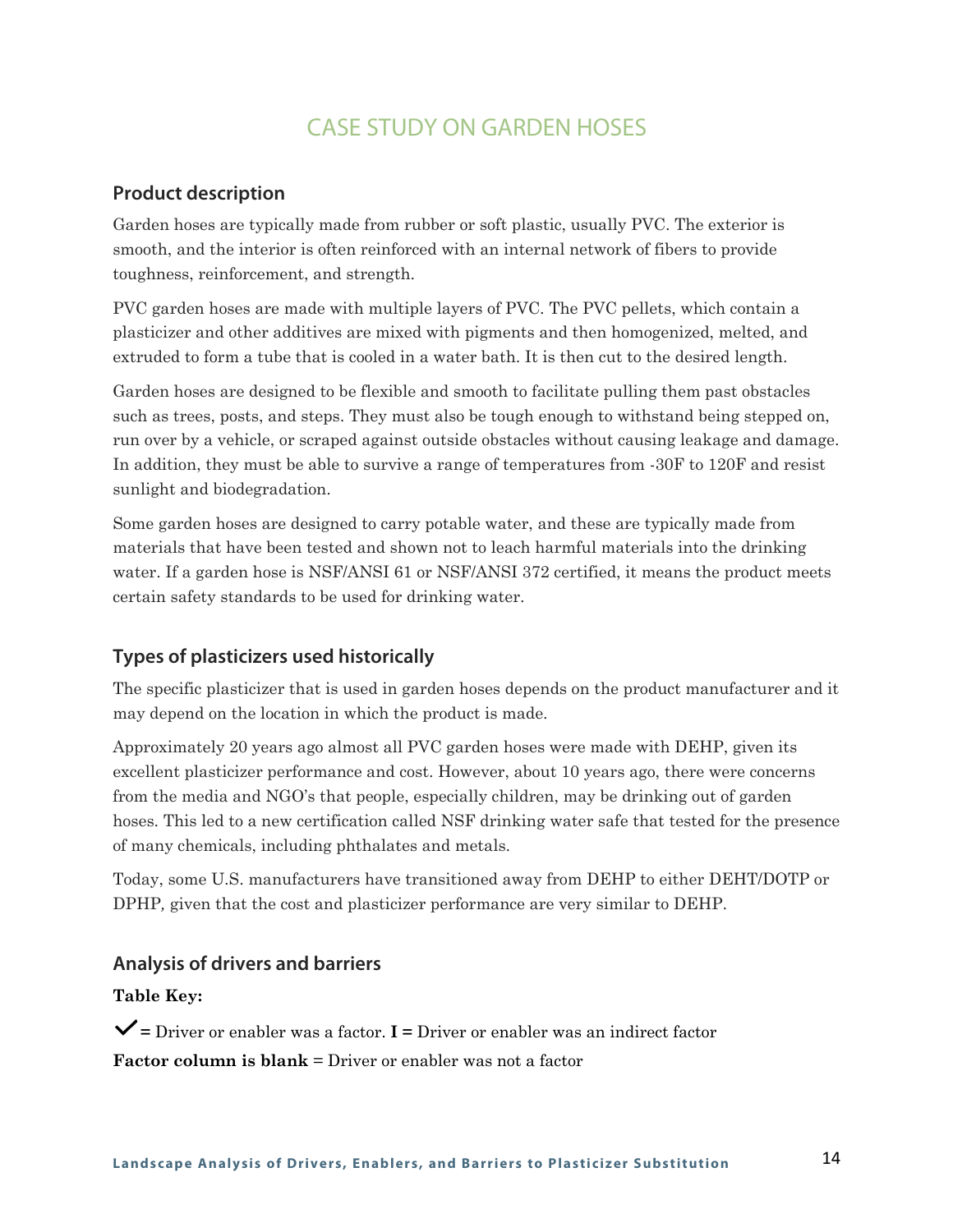## CASE STUDY ON GARDEN HOSES

#### **Product description**

Garden hoses are typically made from rubber or soft plastic, usually PVC. The exterior is smooth, and the interior is often reinforced with an internal network of fibers to provide toughness, reinforcement, and strength.

PVC garden hoses are made with multiple layers of PVC. The PVC pellets, which contain a plasticizer and other additives are mixed with pigments and then homogenized, melted, and extruded to form a tube that is cooled in a water bath. It is then cut to the desired length.

Garden hoses are designed to be flexible and smooth to facilitate pulling them past obstacles such as trees, posts, and steps. They must also be tough enough to withstand being stepped on, run over by a vehicle, or scraped against outside obstacles without causing leakage and damage. In addition, they must be able to survive a range of temperatures from -30F to 120F and resist sunlight and biodegradation.

Some garden hoses are designed to carry potable water, and these are typically made from materials that have been tested and shown not to leach harmful materials into the drinking water. If a garden hose is NSF/ANSI 61 or NSF/ANSI 372 certified, it means the product meets certain safety standards to be used for drinking water.

#### **Types of plasticizers used historically**

The specific plasticizer that is used in garden hoses depends on the product manufacturer and it may depend on the location in which the product is made.

Approximately 20 years ago almost all PVC garden hoses were made with DEHP, given its excellent plasticizer performance and cost. However, about 10 years ago, there were concerns from the media and NGO's that people, especially children, may be drinking out of garden hoses. This led to a new certification called NSF drinking water safe that tested for the presence of many chemicals, including phthalates and metals.

Today, some U.S. manufacturers have transitioned away from DEHP to either DEHT/DOTP or DPHP*,* given that the cost and plasticizer performance are very similar to DEHP.

#### **Analysis of drivers and barriers**

#### **Table Key:**

**=** Driver or enabler was a factor. **I =** Driver or enabler was an indirect factor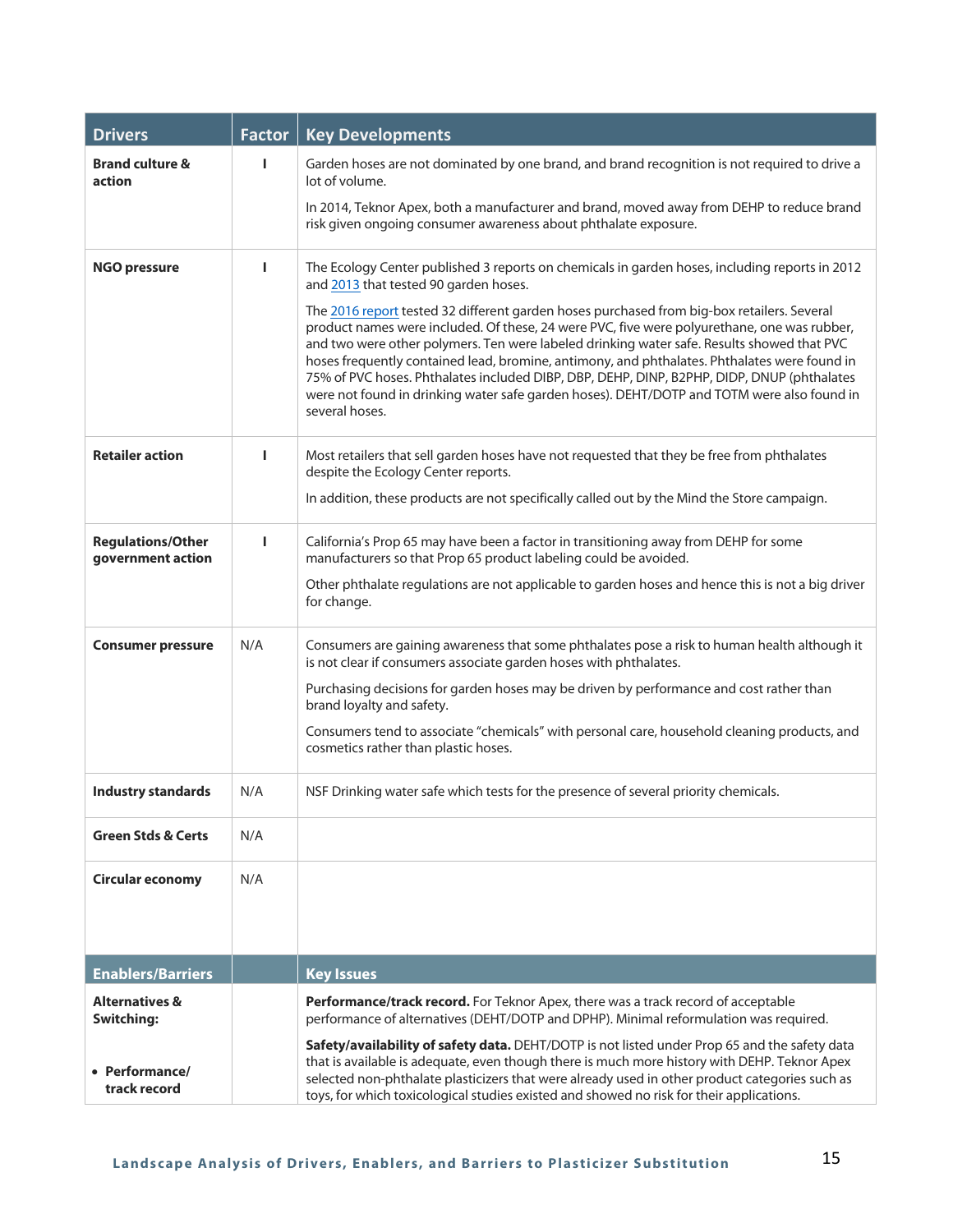| <b>Drivers</b>                                 | <b>Factor</b> | <b>Key Developments</b>                                                                                                                                                                                                                                                                                                                                                                                                                                                                                                                                                                               |
|------------------------------------------------|---------------|-------------------------------------------------------------------------------------------------------------------------------------------------------------------------------------------------------------------------------------------------------------------------------------------------------------------------------------------------------------------------------------------------------------------------------------------------------------------------------------------------------------------------------------------------------------------------------------------------------|
| <b>Brand culture &amp;</b><br>action           |               | Garden hoses are not dominated by one brand, and brand recognition is not required to drive a<br>lot of volume.                                                                                                                                                                                                                                                                                                                                                                                                                                                                                       |
|                                                |               | In 2014, Teknor Apex, both a manufacturer and brand, moved away from DEHP to reduce brand<br>risk given ongoing consumer awareness about phthalate exposure.                                                                                                                                                                                                                                                                                                                                                                                                                                          |
| <b>NGO pressure</b>                            | п             | The Ecology Center published 3 reports on chemicals in garden hoses, including reports in 2012<br>and 2013 that tested 90 garden hoses.                                                                                                                                                                                                                                                                                                                                                                                                                                                               |
|                                                |               | The 2016 report tested 32 different garden hoses purchased from big-box retailers. Several<br>product names were included. Of these, 24 were PVC, five were polyurethane, one was rubber,<br>and two were other polymers. Ten were labeled drinking water safe. Results showed that PVC<br>hoses frequently contained lead, bromine, antimony, and phthalates. Phthalates were found in<br>75% of PVC hoses. Phthalates included DIBP, DBP, DEHP, DINP, B2PHP, DIDP, DNUP (phthalates<br>were not found in drinking water safe garden hoses). DEHT/DOTP and TOTM were also found in<br>several hoses. |
| <b>Retailer action</b>                         | п             | Most retailers that sell garden hoses have not requested that they be free from phthalates<br>despite the Ecology Center reports.                                                                                                                                                                                                                                                                                                                                                                                                                                                                     |
|                                                |               | In addition, these products are not specifically called out by the Mind the Store campaign.                                                                                                                                                                                                                                                                                                                                                                                                                                                                                                           |
| <b>Regulations/Other</b><br>government action  | П             | California's Prop 65 may have been a factor in transitioning away from DEHP for some<br>manufacturers so that Prop 65 product labeling could be avoided.                                                                                                                                                                                                                                                                                                                                                                                                                                              |
|                                                |               | Other phthalate regulations are not applicable to garden hoses and hence this is not a big driver<br>for change.                                                                                                                                                                                                                                                                                                                                                                                                                                                                                      |
| <b>Consumer pressure</b>                       | N/A           | Consumers are gaining awareness that some phthalates pose a risk to human health although it<br>is not clear if consumers associate garden hoses with phthalates.                                                                                                                                                                                                                                                                                                                                                                                                                                     |
|                                                |               | Purchasing decisions for garden hoses may be driven by performance and cost rather than<br>brand loyalty and safety.                                                                                                                                                                                                                                                                                                                                                                                                                                                                                  |
|                                                |               | Consumers tend to associate "chemicals" with personal care, household cleaning products, and<br>cosmetics rather than plastic hoses.                                                                                                                                                                                                                                                                                                                                                                                                                                                                  |
| <b>Industry standards</b>                      | N/A           | NSF Drinking water safe which tests for the presence of several priority chemicals.                                                                                                                                                                                                                                                                                                                                                                                                                                                                                                                   |
| <b>Green Stds &amp; Certs</b>                  | N/A           |                                                                                                                                                                                                                                                                                                                                                                                                                                                                                                                                                                                                       |
| <b>Circular economy</b>                        | N/A           |                                                                                                                                                                                                                                                                                                                                                                                                                                                                                                                                                                                                       |
| <b>Enablers/Barriers</b>                       |               | <b>Key Issues</b>                                                                                                                                                                                                                                                                                                                                                                                                                                                                                                                                                                                     |
| <b>Alternatives &amp;</b><br><b>Switching:</b> |               | Performance/track record. For Teknor Apex, there was a track record of acceptable<br>performance of alternatives (DEHT/DOTP and DPHP). Minimal reformulation was required.                                                                                                                                                                                                                                                                                                                                                                                                                            |
| • Performance/<br>track record                 |               | Safety/availability of safety data. DEHT/DOTP is not listed under Prop 65 and the safety data<br>that is available is adequate, even though there is much more history with DEHP. Teknor Apex<br>selected non-phthalate plasticizers that were already used in other product categories such as<br>toys, for which toxicological studies existed and showed no risk for their applications.                                                                                                                                                                                                           |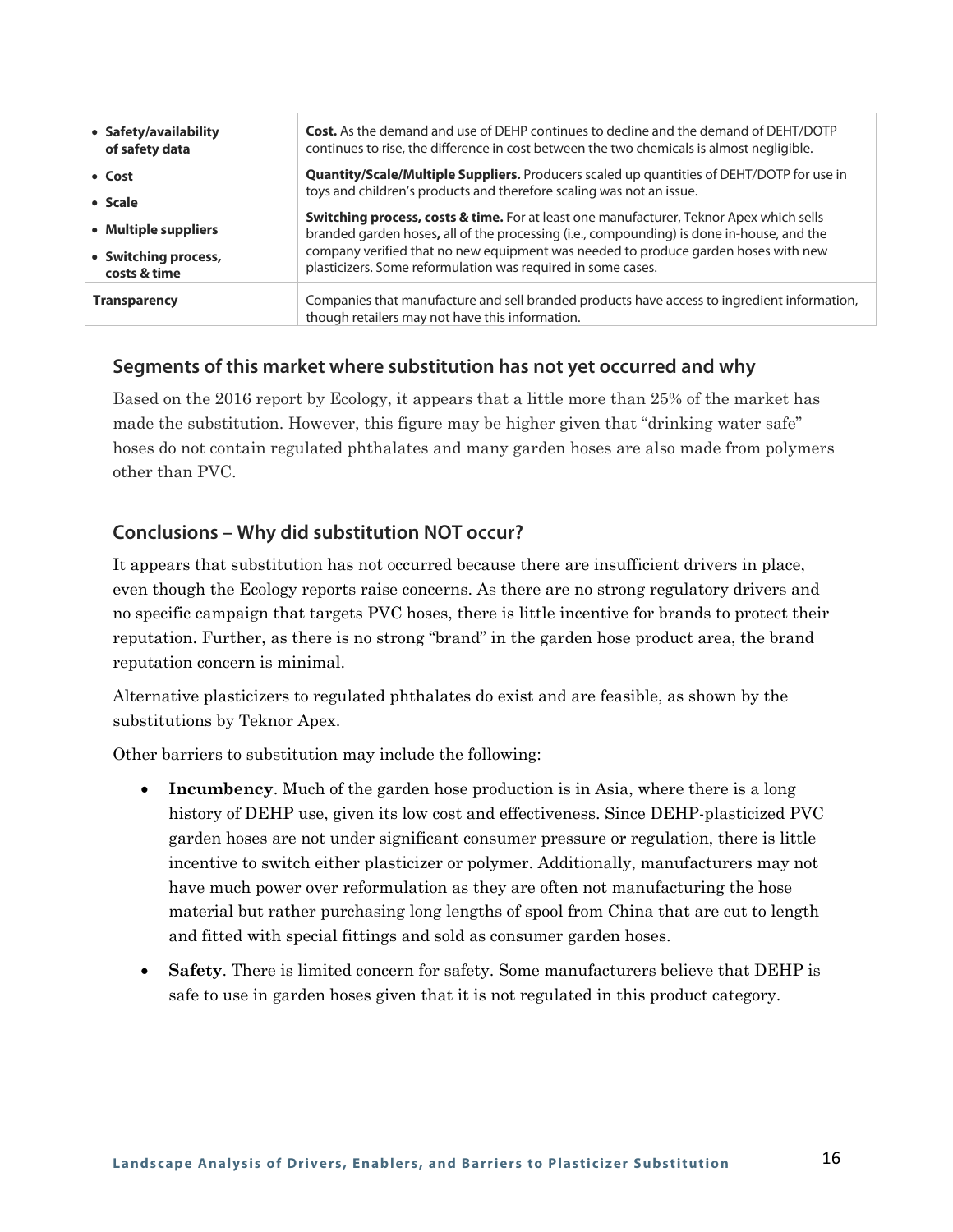| • Safety/availability<br>of safety data                      | <b>Cost.</b> As the demand and use of DEHP continues to decline and the demand of DEHT/DOTP<br>continues to rise, the difference in cost between the two chemicals is almost negligible.                                                        |
|--------------------------------------------------------------|-------------------------------------------------------------------------------------------------------------------------------------------------------------------------------------------------------------------------------------------------|
| • Cost                                                       | <b>Quantity/Scale/Multiple Suppliers.</b> Producers scaled up quantities of DEHT/DOTP for use in<br>toys and children's products and therefore scaling was not an issue.                                                                        |
| • Scale                                                      | Switching process, costs & time. For at least one manufacturer, Teknor Apex which sells                                                                                                                                                         |
| • Multiple suppliers<br>• Switching process,<br>costs & time | branded garden hoses, all of the processing (i.e., compounding) is done in-house, and the<br>company verified that no new equipment was needed to produce garden hoses with new<br>plasticizers. Some reformulation was required in some cases. |
| <b>Transparency</b>                                          | Companies that manufacture and sell branded products have access to ingredient information,<br>though retailers may not have this information.                                                                                                  |

Based on the 2016 report by Ecology, it appears that a little more than 25% of the market has made the substitution. However, this figure may be higher given that "drinking water safe" hoses do not contain regulated phthalates and many garden hoses are also made from polymers other than PVC.

#### **Conclusions – Why did substitution NOT occur?**

It appears that substitution has not occurred because there are insufficient drivers in place, even though the Ecology reports raise concerns. As there are no strong regulatory drivers and no specific campaign that targets PVC hoses, there is little incentive for brands to protect their reputation. Further, as there is no strong "brand" in the garden hose product area, the brand reputation concern is minimal.

Alternative plasticizers to regulated phthalates do exist and are feasible, as shown by the substitutions by Teknor Apex.

Other barriers to substitution may include the following:

- **Incumbency**. Much of the garden hose production is in Asia, where there is a long history of DEHP use, given its low cost and effectiveness. Since DEHP-plasticized PVC garden hoses are not under significant consumer pressure or regulation, there is little incentive to switch either plasticizer or polymer. Additionally, manufacturers may not have much power over reformulation as they are often not manufacturing the hose material but rather purchasing long lengths of spool from China that are cut to length and fitted with special fittings and sold as consumer garden hoses.
- **Safety**. There is limited concern for safety. Some manufacturers believe that DEHP is safe to use in garden hoses given that it is not regulated in this product category.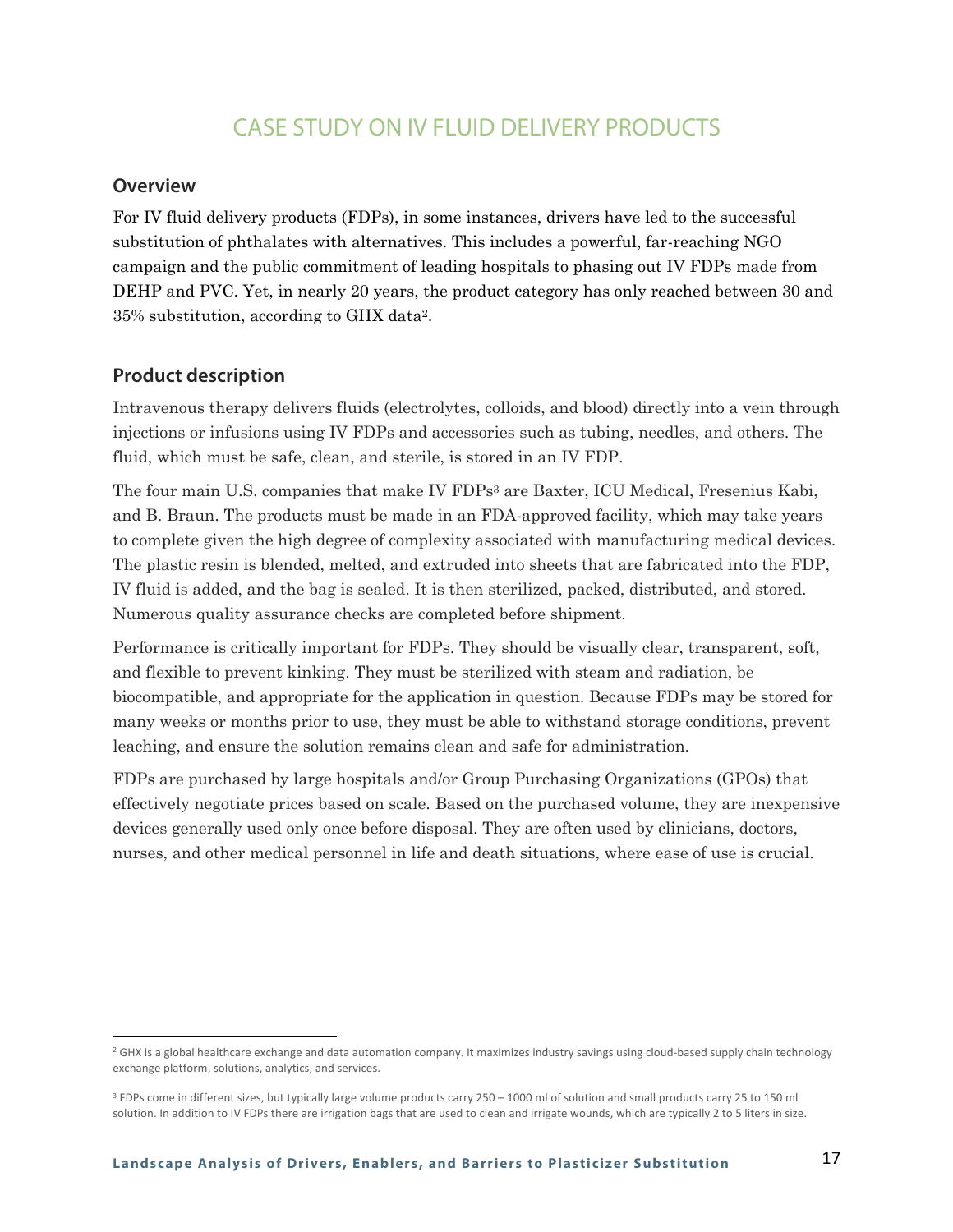## CASE STUDY ON IV FLUID DELIVERY PRODUCTS

#### **Overview**

For IV fluid delivery products (FDPs), in some instances, drivers have led to the successful substitution of phthalates with alternatives. This includes a powerful, far-reaching NGO campaign and the public commitment of leading hospitals to phasing out IV FDPs made from DEHP and PVC. Yet, in nearly 20 years, the product category has only reached between 30 and 35% substitution, according to GHX data2.

#### **Product description**

Intravenous therapy delivers fluids (electrolytes, colloids, and blood) directly into a vein through injections or infusions using IV FDPs and accessories such as tubing, needles, and others. The fluid, which must be safe, clean, and sterile, is stored in an IV FDP.

The four main U.S. companies that make IV FDPs3 are Baxter, ICU Medical, Fresenius Kabi, and B. Braun. The products must be made in an FDA-approved facility, which may take years to complete given the high degree of complexity associated with manufacturing medical devices. The plastic resin is blended, melted, and extruded into sheets that are fabricated into the FDP, IV fluid is added, and the bag is sealed. It is then sterilized, packed, distributed, and stored. Numerous quality assurance checks are completed before shipment.

Performance is critically important for FDPs. They should be visually clear, transparent, soft, and flexible to prevent kinking. They must be sterilized with steam and radiation, be biocompatible, and appropriate for the application in question. Because FDPs may be stored for many weeks or months prior to use, they must be able to withstand storage conditions, prevent leaching, and ensure the solution remains clean and safe for administration.

FDPs are purchased by large hospitals and/or Group Purchasing Organizations (GPOs) that effectively negotiate prices based on scale. Based on the purchased volume, they are inexpensive devices generally used only once before disposal. They are often used by clinicians, doctors, nurses, and other medical personnel in life and death situations, where ease of use is crucial.

<sup>&</sup>lt;sup>2</sup> GHX is a global healthcare exchange and data automation company. It maximizes industry savings using cloud-based supply chain technology exchange platform, solutions, analytics, and services.

<sup>&</sup>lt;sup>3</sup> FDPs come in different sizes, but typically large volume products carry 250 – 1000 ml of solution and small products carry 25 to 150 ml solution. In addition to IV FDPs there are irrigation bags that are used to clean and irrigate wounds, which are typically 2 to 5 liters in size.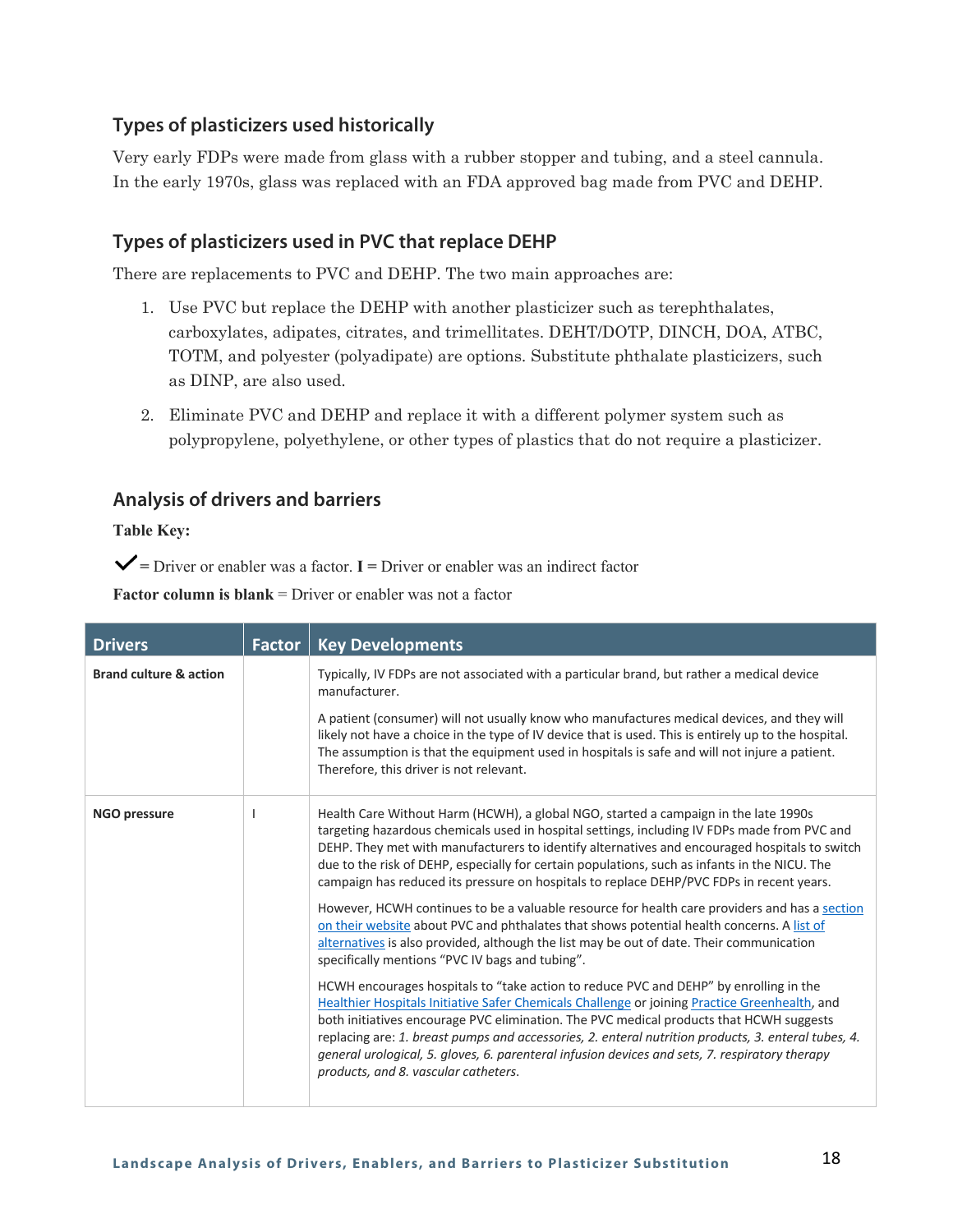#### **Types of plasticizers used historically**

Very early FDPs were made from glass with a rubber stopper and tubing, and a steel cannula. In the early 1970s, glass was replaced with an FDA approved bag made from PVC and DEHP.

#### **Types of plasticizers used in PVC that replace DEHP**

There are replacements to PVC and DEHP. The two main approaches are:

- 1. Use PVC but replace the DEHP with another plasticizer such as terephthalates, carboxylates, adipates, citrates, and trimellitates. DEHT/DOTP, DINCH, DOA, ATBC, TOTM, and polyester (polyadipate) are options. Substitute phthalate plasticizers, such as DINP, are also used.
- 2. Eliminate PVC and DEHP and replace it with a different polymer system such as polypropylene, polyethylene, or other types of plastics that do not require a plasticizer.

#### **Analysis of drivers and barriers**

**Table Key:**

 $\checkmark$  = Driver or enabler was a factor. **I** = Driver or enabler was an indirect factor

| <b>Drivers</b>                    | Factor | <b>Key Developments</b>                                                                                                                                                                                                                                                                                                                                                                                                                                                                                                                                                                                                                                                                                                                                                                                                                                                                                                                                                                                                                                                                                                                                                                                                                                                                                                                                              |
|-----------------------------------|--------|----------------------------------------------------------------------------------------------------------------------------------------------------------------------------------------------------------------------------------------------------------------------------------------------------------------------------------------------------------------------------------------------------------------------------------------------------------------------------------------------------------------------------------------------------------------------------------------------------------------------------------------------------------------------------------------------------------------------------------------------------------------------------------------------------------------------------------------------------------------------------------------------------------------------------------------------------------------------------------------------------------------------------------------------------------------------------------------------------------------------------------------------------------------------------------------------------------------------------------------------------------------------------------------------------------------------------------------------------------------------|
| <b>Brand culture &amp; action</b> |        | Typically, IV FDPs are not associated with a particular brand, but rather a medical device<br>manufacturer.<br>A patient (consumer) will not usually know who manufactures medical devices, and they will<br>likely not have a choice in the type of IV device that is used. This is entirely up to the hospital.<br>The assumption is that the equipment used in hospitals is safe and will not injure a patient.<br>Therefore, this driver is not relevant.                                                                                                                                                                                                                                                                                                                                                                                                                                                                                                                                                                                                                                                                                                                                                                                                                                                                                                        |
| <b>NGO pressure</b>               |        | Health Care Without Harm (HCWH), a global NGO, started a campaign in the late 1990s<br>targeting hazardous chemicals used in hospital settings, including IV FDPs made from PVC and<br>DEHP. They met with manufacturers to identify alternatives and encouraged hospitals to switch<br>due to the risk of DEHP, especially for certain populations, such as infants in the NICU. The<br>campaign has reduced its pressure on hospitals to replace DEHP/PVC FDPs in recent years.<br>However, HCWH continues to be a valuable resource for health care providers and has a section<br>on their website about PVC and phthalates that shows potential health concerns. A list of<br>alternatives is also provided, although the list may be out of date. Their communication<br>specifically mentions "PVC IV bags and tubing".<br>HCWH encourages hospitals to "take action to reduce PVC and DEHP" by enrolling in the<br>Healthier Hospitals Initiative Safer Chemicals Challenge or joining Practice Greenhealth, and<br>both initiatives encourage PVC elimination. The PVC medical products that HCWH suggests<br>replacing are: 1. breast pumps and accessories, 2. enteral nutrition products, 3. enteral tubes, 4.<br>general urological, 5. gloves, 6. parenteral infusion devices and sets, 7. respiratory therapy<br>products, and 8. vascular catheters. |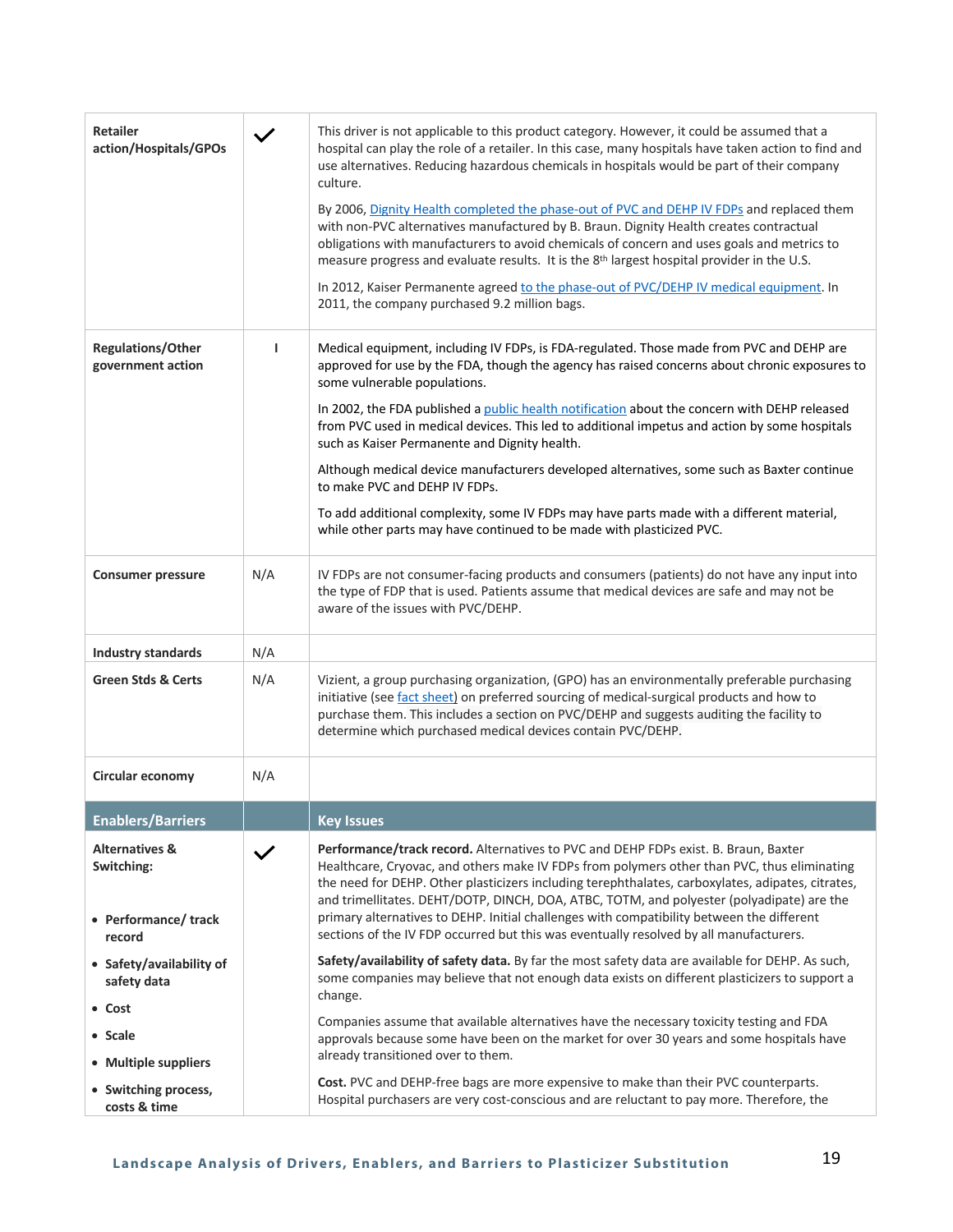| <b>Retailer</b><br>action/Hospitals/GPOs                                 |              | This driver is not applicable to this product category. However, it could be assumed that a<br>hospital can play the role of a retailer. In this case, many hospitals have taken action to find and<br>use alternatives. Reducing hazardous chemicals in hospitals would be part of their company<br>culture.<br>By 2006, Dignity Health completed the phase-out of PVC and DEHP IV FDPs and replaced them<br>with non-PVC alternatives manufactured by B. Braun. Dignity Health creates contractual<br>obligations with manufacturers to avoid chemicals of concern and uses goals and metrics to<br>measure progress and evaluate results. It is the 8th largest hospital provider in the U.S.<br>In 2012, Kaiser Permanente agreed to the phase-out of PVC/DEHP IV medical equipment. In<br>2011, the company purchased 9.2 million bags. |
|--------------------------------------------------------------------------|--------------|----------------------------------------------------------------------------------------------------------------------------------------------------------------------------------------------------------------------------------------------------------------------------------------------------------------------------------------------------------------------------------------------------------------------------------------------------------------------------------------------------------------------------------------------------------------------------------------------------------------------------------------------------------------------------------------------------------------------------------------------------------------------------------------------------------------------------------------------|
| <b>Regulations/Other</b><br>government action                            | L            | Medical equipment, including IV FDPs, is FDA-regulated. Those made from PVC and DEHP are<br>approved for use by the FDA, though the agency has raised concerns about chronic exposures to<br>some vulnerable populations.<br>In 2002, the FDA published a public health notification about the concern with DEHP released<br>from PVC used in medical devices. This led to additional impetus and action by some hospitals<br>such as Kaiser Permanente and Dignity health.<br>Although medical device manufacturers developed alternatives, some such as Baxter continue<br>to make PVC and DEHP IV FDPs.<br>To add additional complexity, some IV FDPs may have parts made with a different material,<br>while other parts may have continued to be made with plasticized PVC.                                                             |
| <b>Consumer pressure</b>                                                 | N/A          | IV FDPs are not consumer-facing products and consumers (patients) do not have any input into<br>the type of FDP that is used. Patients assume that medical devices are safe and may not be<br>aware of the issues with PVC/DEHP.                                                                                                                                                                                                                                                                                                                                                                                                                                                                                                                                                                                                             |
| Industry standards                                                       | N/A          |                                                                                                                                                                                                                                                                                                                                                                                                                                                                                                                                                                                                                                                                                                                                                                                                                                              |
| <b>Green Stds &amp; Certs</b>                                            | N/A          | Vizient, a group purchasing organization, (GPO) has an environmentally preferable purchasing<br>initiative (see fact sheet) on preferred sourcing of medical-surgical products and how to<br>purchase them. This includes a section on PVC/DEHP and suggests auditing the facility to<br>determine which purchased medical devices contain PVC/DEHP.                                                                                                                                                                                                                                                                                                                                                                                                                                                                                         |
| Circular economy                                                         | N/A          |                                                                                                                                                                                                                                                                                                                                                                                                                                                                                                                                                                                                                                                                                                                                                                                                                                              |
| <b>Enablers/Barriers</b>                                                 |              | <b>Key Issues</b>                                                                                                                                                                                                                                                                                                                                                                                                                                                                                                                                                                                                                                                                                                                                                                                                                            |
| <b>Alternatives &amp;</b><br>Switching:<br>• Performance/track<br>record | $\checkmark$ | Performance/track record. Alternatives to PVC and DEHP FDPs exist. B. Braun, Baxter<br>Healthcare, Cryovac, and others make IV FDPs from polymers other than PVC, thus eliminating<br>the need for DEHP. Other plasticizers including terephthalates, carboxylates, adipates, citrates,<br>and trimellitates. DEHT/DOTP, DINCH, DOA, ATBC, TOTM, and polyester (polyadipate) are the<br>primary alternatives to DEHP. Initial challenges with compatibility between the different<br>sections of the IV FDP occurred but this was eventually resolved by all manufacturers.                                                                                                                                                                                                                                                                  |
| • Safety/availability of<br>safety data<br>• Cost                        |              | Safety/availability of safety data. By far the most safety data are available for DEHP. As such,<br>some companies may believe that not enough data exists on different plasticizers to support a<br>change.<br>Companies assume that available alternatives have the necessary toxicity testing and FDA                                                                                                                                                                                                                                                                                                                                                                                                                                                                                                                                     |
| • Scale                                                                  |              | approvals because some have been on the market for over 30 years and some hospitals have<br>already transitioned over to them.                                                                                                                                                                                                                                                                                                                                                                                                                                                                                                                                                                                                                                                                                                               |
| • Multiple suppliers<br>• Switching process,<br>costs & time             |              | Cost. PVC and DEHP-free bags are more expensive to make than their PVC counterparts.<br>Hospital purchasers are very cost-conscious and are reluctant to pay more. Therefore, the                                                                                                                                                                                                                                                                                                                                                                                                                                                                                                                                                                                                                                                            |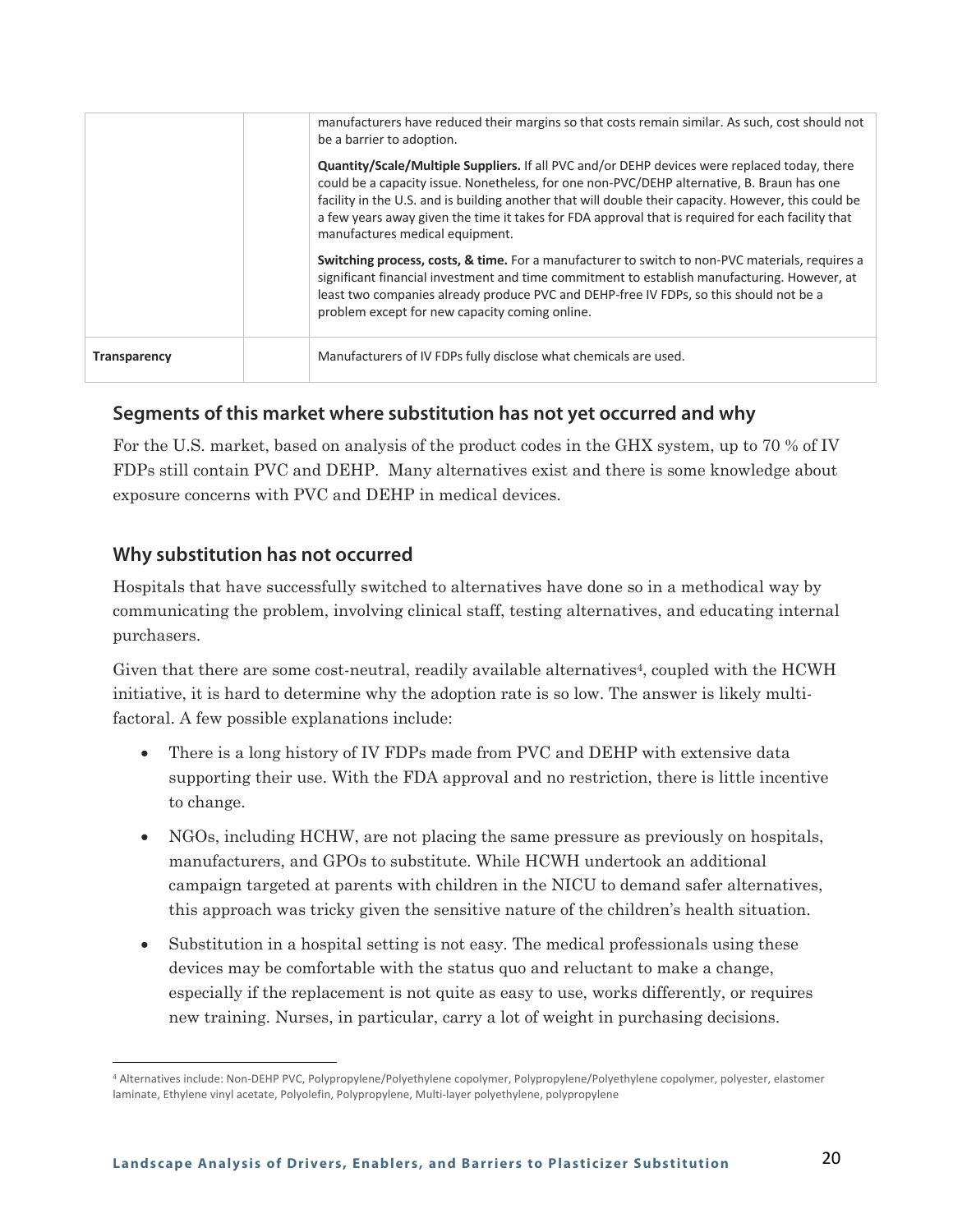|                     | manufacturers have reduced their margins so that costs remain similar. As such, cost should not<br>be a barrier to adoption.<br>Quantity/Scale/Multiple Suppliers. If all PVC and/or DEHP devices were replaced today, there<br>could be a capacity issue. Nonetheless, for one non-PVC/DEHP alternative, B. Braun has one<br>facility in the U.S. and is building another that will double their capacity. However, this could be<br>a few years away given the time it takes for FDA approval that is required for each facility that<br>manufactures medical equipment.<br>Switching process, costs, & time. For a manufacturer to switch to non-PVC materials, requires a<br>significant financial investment and time commitment to establish manufacturing. However, at<br>least two companies already produce PVC and DEHP-free IV FDPs, so this should not be a<br>problem except for new capacity coming online. |
|---------------------|---------------------------------------------------------------------------------------------------------------------------------------------------------------------------------------------------------------------------------------------------------------------------------------------------------------------------------------------------------------------------------------------------------------------------------------------------------------------------------------------------------------------------------------------------------------------------------------------------------------------------------------------------------------------------------------------------------------------------------------------------------------------------------------------------------------------------------------------------------------------------------------------------------------------------|
| <b>Transparency</b> | Manufacturers of IV FDPs fully disclose what chemicals are used.                                                                                                                                                                                                                                                                                                                                                                                                                                                                                                                                                                                                                                                                                                                                                                                                                                                          |

For the U.S. market, based on analysis of the product codes in the GHX system, up to 70 % of IV FDPs still contain PVC and DEHP. Many alternatives exist and there is some knowledge about exposure concerns with PVC and DEHP in medical devices.

#### **Why substitution has not occurred**

Hospitals that have successfully switched to alternatives have done so in a methodical way by communicating the problem, involving clinical staff, testing alternatives, and educating internal purchasers.

Given that there are some cost-neutral, readily available alternatives<sup>4</sup>, coupled with the HCWH initiative, it is hard to determine why the adoption rate is so low. The answer is likely multifactoral. A few possible explanations include:

- There is a long history of IV FDPs made from PVC and DEHP with extensive data supporting their use. With the FDA approval and no restriction, there is little incentive to change.
- NGOs, including HCHW, are not placing the same pressure as previously on hospitals, manufacturers, and GPOs to substitute. While HCWH undertook an additional campaign targeted at parents with children in the NICU to demand safer alternatives, this approach was tricky given the sensitive nature of the children's health situation.
- Substitution in a hospital setting is not easy. The medical professionals using these devices may be comfortable with the status quo and reluctant to make a change, especially if the replacement is not quite as easy to use, works differently, or requires new training. Nurses, in particular, carry a lot of weight in purchasing decisions.

<sup>4</sup> Alternatives include: Non-DEHP PVC, Polypropylene/Polyethylene copolymer, Polypropylene/Polyethylene copolymer, polyester, elastomer laminate, Ethylene vinyl acetate, Polyolefin, Polypropylene, Multi-layer polyethylene, polypropylene